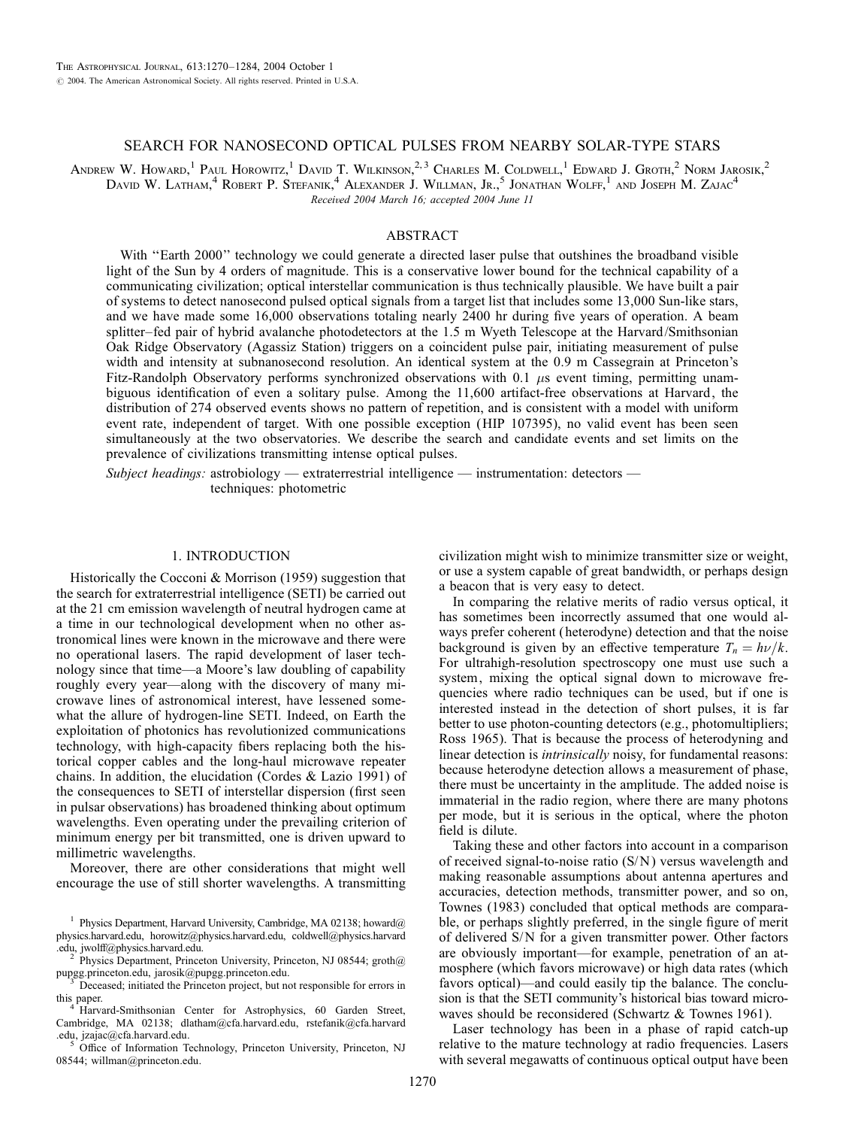# SEARCH FOR NANOSECOND OPTICAL PULSES FROM NEARBY SOLAR-TYPE STARS

ANDREW W. HOWARD,<sup>1</sup> Paul Horowitz,<sup>1</sup> David T. Wilkinson,<sup>2,3</sup> Charles M. Coldwell,<sup>1</sup> Edward J. Groth,<sup>2</sup> Norm Jarosik,<sup>2</sup> David W. Latham,<sup>4</sup> Robert P. Stefanik,<sup>4</sup> Alexander J. Willman, Jr.,<sup>5</sup> Jonathan Wolff,<sup>1</sup> and Joseph M. Zajac<sup>4</sup> Received 2004 March 16; accepted 2004 June 11

## ABSTRACT

With "Earth 2000" technology we could generate a directed laser pulse that outshines the broadband visible light of the Sun by 4 orders of magnitude. This is a conservative lower bound for the technical capability of a communicating civilization; optical interstellar communication is thus technically plausible. We have built a pair of systems to detect nanosecond pulsed optical signals from a target list that includes some 13,000 Sun-like stars, and we have made some 16,000 observations totaling nearly 2400 hr during five years of operation. A beam splitter–fed pair of hybrid avalanche photodetectors at the 1.5 m Wyeth Telescope at the Harvard/Smithsonian Oak Ridge Observatory (Agassiz Station) triggers on a coincident pulse pair, initiating measurement of pulse width and intensity at subnanosecond resolution. An identical system at the 0.9 m Cassegrain at Princeton's Fitz-Randolph Observatory performs synchronized observations with 0.1  $\mu$ s event timing, permitting unambiguous identification of even a solitary pulse. Among the 11,600 artifact-free observations at Harvard, the distribution of 274 observed events shows no pattern of repetition, and is consistent with a model with uniform event rate, independent of target. With one possible exception (HIP 107395), no valid event has been seen simultaneously at the two observatories. We describe the search and candidate events and set limits on the prevalence of civilizations transmitting intense optical pulses.

Subject headings: astrobiology — extraterrestrial intelligence — instrumentation: detectors techniques: photometric

# 1. INTRODUCTION

Historically the Cocconi & Morrison (1959) suggestion that the search for extraterrestrial intelligence (SETI) be carried out at the 21 cm emission wavelength of neutral hydrogen came at a time in our technological development when no other astronomical lines were known in the microwave and there were no operational lasers. The rapid development of laser technology since that time—a Moore's law doubling of capability roughly every year—along with the discovery of many microwave lines of astronomical interest, have lessened somewhat the allure of hydrogen-line SETI. Indeed, on Earth the exploitation of photonics has revolutionized communications technology, with high-capacity fibers replacing both the historical copper cables and the long-haul microwave repeater chains. In addition, the elucidation (Cordes & Lazio 1991) of the consequences to SETI of interstellar dispersion (first seen in pulsar observations) has broadened thinking about optimum wavelengths. Even operating under the prevailing criterion of minimum energy per bit transmitted, one is driven upward to millimetric wavelengths.

Moreover, there are other considerations that might well encourage the use of still shorter wavelengths. A transmitting

<sup>1</sup> Physics Department, Harvard University, Cambridge, MA 02138; howard@ physics.harvard.edu, horowitz@physics.harvard.edu, coldwell@physics.harvard.edu, jwolff@physics.harvard.edu.<br>
<sup>2</sup> Physics.Darvard.edu.

<sup>2</sup> Physics Department, Princeton University, Princeton, NJ 08544; groth@ pupgg.princeton.edu. jarosik@pupgg.princeton.edu.

Deceased; initiated the Princeton project, but not responsible for errors in

this paper. <sup>4</sup> Harvard-Smithsonian Center for Astrophysics, 60 Garden Street, Cambridge, MA 02138; dlatham@cfa.harvard.edu, rstefanik@cfa.harvard

Office of Information Technology, Princeton University, Princeton, NJ 08544; willman@princeton.edu.

civilization might wish to minimize transmitter size or weight, or use a system capable of great bandwidth, or perhaps design a beacon that is very easy to detect.

In comparing the relative merits of radio versus optical, it has sometimes been incorrectly assumed that one would always prefer coherent ( heterodyne) detection and that the noise background is given by an effective temperature  $T_n = h\nu/k$ . For ultrahigh-resolution spectroscopy one must use such a system, mixing the optical signal down to microwave frequencies where radio techniques can be used, but if one is interested instead in the detection of short pulses, it is far better to use photon-counting detectors (e.g., photomultipliers; Ross 1965). That is because the process of heterodyning and linear detection is intrinsically noisy, for fundamental reasons: because heterodyne detection allows a measurement of phase, there must be uncertainty in the amplitude. The added noise is immaterial in the radio region, where there are many photons per mode, but it is serious in the optical, where the photon field is dilute.

Taking these and other factors into account in a comparison of received signal-to-noise ratio  $(S/N)$  versus wavelength and making reasonable assumptions about antenna apertures and accuracies, detection methods, transmitter power, and so on, Townes (1983) concluded that optical methods are comparable, or perhaps slightly preferred, in the single figure of merit of delivered S/N for a given transmitter power. Other factors are obviously important—for example, penetration of an atmosphere (which favors microwave) or high data rates (which favors optical)—and could easily tip the balance. The conclusion is that the SETI community's historical bias toward microwaves should be reconsidered (Schwartz & Townes 1961).

Laser technology has been in a phase of rapid catch-up relative to the mature technology at radio frequencies. Lasers with several megawatts of continuous optical output have been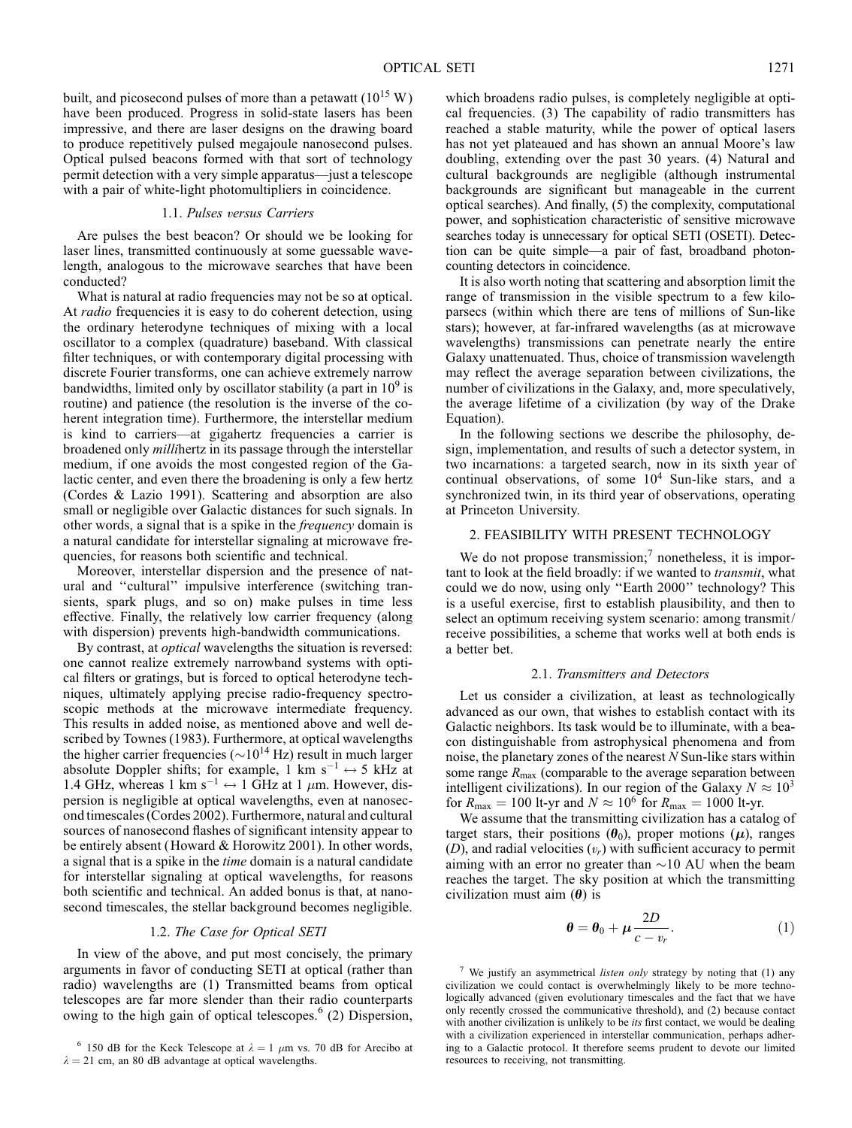built, and picosecond pulses of more than a petawatt  $(10^{15} \text{ W})$ have been produced. Progress in solid-state lasers has been impressive, and there are laser designs on the drawing board to produce repetitively pulsed megajoule nanosecond pulses. Optical pulsed beacons formed with that sort of technology permit detection with a very simple apparatus—just a telescope with a pair of white-light photomultipliers in coincidence.

# 1.1. Pulses versus Carriers

Are pulses the best beacon? Or should we be looking for laser lines, transmitted continuously at some guessable wavelength, analogous to the microwave searches that have been conducted?

What is natural at radio frequencies may not be so at optical. At *radio* frequencies it is easy to do coherent detection, using the ordinary heterodyne techniques of mixing with a local oscillator to a complex (quadrature) baseband. With classical filter techniques, or with contemporary digital processing with discrete Fourier transforms, one can achieve extremely narrow bandwidths, limited only by oscillator stability (a part in  $10^9$  is routine) and patience (the resolution is the inverse of the coherent integration time). Furthermore, the interstellar medium is kind to carriers—at gigahertz frequencies a carrier is broadened only millihertz in its passage through the interstellar medium, if one avoids the most congested region of the Galactic center, and even there the broadening is only a few hertz (Cordes & Lazio 1991). Scattering and absorption are also small or negligible over Galactic distances for such signals. In other words, a signal that is a spike in the frequency domain is a natural candidate for interstellar signaling at microwave frequencies, for reasons both scientific and technical.

Moreover, interstellar dispersion and the presence of natural and ''cultural'' impulsive interference (switching transients, spark plugs, and so on) make pulses in time less effective. Finally, the relatively low carrier frequency (along with dispersion) prevents high-bandwidth communications.

By contrast, at optical wavelengths the situation is reversed: one cannot realize extremely narrowband systems with optical filters or gratings, but is forced to optical heterodyne techniques, ultimately applying precise radio-frequency spectroscopic methods at the microwave intermediate frequency. This results in added noise, as mentioned above and well described by Townes (1983). Furthermore, at optical wavelengths the higher carrier frequencies ( $\sim$ 10<sup>14</sup> Hz) result in much larger absolute Doppler shifts; for example, 1 km s<sup>-1</sup>  $\leftrightarrow$  5 kHz at 1.4 GHz, whereas 1 km s<sup>-1</sup>  $\leftrightarrow$  1 GHz at 1  $\mu$ m. However, dispersion is negligible at optical wavelengths, even at nanosecond timescales (Cordes 2002). Furthermore, natural and cultural sources of nanosecond flashes of significant intensity appear to be entirely absent (Howard & Horowitz 2001). In other words, a signal that is a spike in the time domain is a natural candidate for interstellar signaling at optical wavelengths, for reasons both scientific and technical. An added bonus is that, at nanosecond timescales, the stellar background becomes negligible.

# 1.2. The Case for Optical SETI

In view of the above, and put most concisely, the primary arguments in favor of conducting SETI at optical (rather than radio) wavelengths are (1) Transmitted beams from optical telescopes are far more slender than their radio counterparts owing to the high gain of optical telescopes.<sup>6</sup> (2) Dispersion, which broadens radio pulses, is completely negligible at optical frequencies. (3) The capability of radio transmitters has reached a stable maturity, while the power of optical lasers has not yet plateaued and has shown an annual Moore's law doubling, extending over the past 30 years. (4) Natural and cultural backgrounds are negligible (although instrumental backgrounds are significant but manageable in the current optical searches). And finally, (5) the complexity, computational power, and sophistication characteristic of sensitive microwave searches today is unnecessary for optical SETI (OSETI). Detection can be quite simple—a pair of fast, broadband photoncounting detectors in coincidence.

It is also worth noting that scattering and absorption limit the range of transmission in the visible spectrum to a few kiloparsecs (within which there are tens of millions of Sun-like stars); however, at far-infrared wavelengths (as at microwave wavelengths) transmissions can penetrate nearly the entire Galaxy unattenuated. Thus, choice of transmission wavelength may reflect the average separation between civilizations, the number of civilizations in the Galaxy, and, more speculatively, the average lifetime of a civilization (by way of the Drake Equation).

In the following sections we describe the philosophy, design, implementation, and results of such a detector system, in two incarnations: a targeted search, now in its sixth year of continual observations, of some 10<sup>4</sup> Sun-like stars, and a synchronized twin, in its third year of observations, operating at Princeton University.

# 2. FEASIBILITY WITH PRESENT TECHNOLOGY

We do not propose transmission; $\frac{7}{1}$  nonetheless, it is important to look at the field broadly: if we wanted to transmit, what could we do now, using only ''Earth 2000'' technology? This is a useful exercise, first to establish plausibility, and then to select an optimum receiving system scenario: among transmit/ receive possibilities, a scheme that works well at both ends is a better bet.

## 2.1. Transmitters and Detectors

Let us consider a civilization, at least as technologically advanced as our own, that wishes to establish contact with its Galactic neighbors. Its task would be to illuminate, with a beacon distinguishable from astrophysical phenomena and from noise, the planetary zones of the nearest N Sun-like stars within some range  $R_{\text{max}}$  (comparable to the average separation between intelligent civilizations). In our region of the Galaxy  $N \approx 10^3$ for  $R_{\text{max}} = 100$  lt-yr and  $N \approx 10^6$  for  $R_{\text{max}} = 1000$  lt-yr.

We assume that the transmitting civilization has a catalog of target stars, their positions  $(\theta_0)$ , proper motions  $(\mu)$ , ranges  $(D)$ , and radial velocities  $(v_r)$  with sufficient accuracy to permit aiming with an error no greater than  $\sim$ 10 AU when the beam reaches the target. The sky position at which the transmitting civilization must aim  $(\theta)$  is

$$
\boldsymbol{\theta} = \boldsymbol{\theta}_0 + \boldsymbol{\mu} \frac{2D}{c - v_r}.
$$
 (1)

<sup>7</sup> We justify an asymmetrical *listen only* strategy by noting that (1) any civilization we could contact is overwhelmingly likely to be more technologically advanced (given evolutionary timescales and the fact that we have only recently crossed the communicative threshold), and (2) because contact with another civilization is unlikely to be *its* first contact, we would be dealing with a civilization experienced in interstellar communication, perhaps adhering to a Galactic protocol. It therefore seems prudent to devote our limited resources to receiving, not transmitting.

<sup>&</sup>lt;sup>6</sup> 150 dB for the Keck Telescope at  $\lambda = 1$   $\mu$ m vs. 70 dB for Arecibo at  $\lambda = 21$  cm, an 80 dB advantage at optical wavelengths.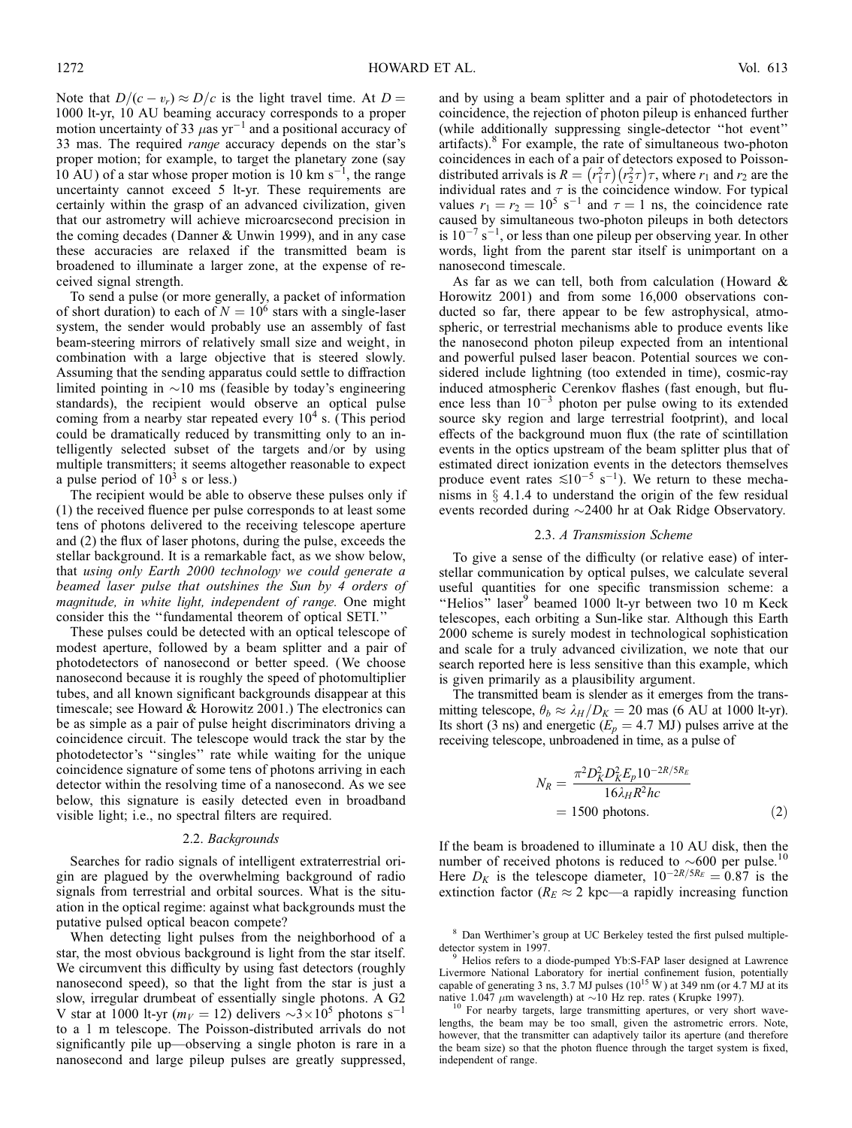Note that  $D/(c - v_r) \approx D/c$  is the light travel time. At  $D =$ 1000 lt-yr, 10 AU beaming accuracy corresponds to a proper motion uncertainty of 33  $\mu$ as yr<sup>-1</sup> and a positional accuracy of 33 mas. The required range accuracy depends on the star's proper motion; for example, to target the planetary zone (say  $10 \text{ AU}$ ) of a star whose proper motion is  $10 \text{ km s}^{-1}$ , the range uncertainty cannot exceed 5 lt-yr. These requirements are certainly within the grasp of an advanced civilization, given that our astrometry will achieve microarcsecond precision in the coming decades (Danner & Unwin 1999), and in any case these accuracies are relaxed if the transmitted beam is broadened to illuminate a larger zone, at the expense of received signal strength.

To send a pulse (or more generally, a packet of information of short duration) to each of  $N = 10^6$  stars with a single-laser system, the sender would probably use an assembly of fast beam-steering mirrors of relatively small size and weight, in combination with a large objective that is steered slowly. Assuming that the sending apparatus could settle to diffraction limited pointing in  $\sim$ 10 ms (feasible by today's engineering standards), the recipient would observe an optical pulse coming from a nearby star repeated every  $10<sup>4</sup>$  s. (This period could be dramatically reduced by transmitting only to an intelligently selected subset of the targets and/or by using multiple transmitters; it seems altogether reasonable to expect a pulse period of  $10^3$  s or less.)

The recipient would be able to observe these pulses only if (1) the received fluence per pulse corresponds to at least some tens of photons delivered to the receiving telescope aperture and (2) the flux of laser photons, during the pulse, exceeds the stellar background. It is a remarkable fact, as we show below, that using only Earth 2000 technology we could generate a beamed laser pulse that outshines the Sun by 4 orders of magnitude, in white light, independent of range. One might consider this the ''fundamental theorem of optical SETI.''

These pulses could be detected with an optical telescope of modest aperture, followed by a beam splitter and a pair of photodetectors of nanosecond or better speed. (We choose nanosecond because it is roughly the speed of photomultiplier tubes, and all known significant backgrounds disappear at this timescale; see Howard & Horowitz 2001.) The electronics can be as simple as a pair of pulse height discriminators driving a coincidence circuit. The telescope would track the star by the photodetector's ''singles'' rate while waiting for the unique coincidence signature of some tens of photons arriving in each detector within the resolving time of a nanosecond. As we see below, this signature is easily detected even in broadband visible light; i.e., no spectral filters are required.

#### 2.2. Backgrounds

Searches for radio signals of intelligent extraterrestrial origin are plagued by the overwhelming background of radio signals from terrestrial and orbital sources. What is the situation in the optical regime: against what backgrounds must the putative pulsed optical beacon compete?

When detecting light pulses from the neighborhood of a star, the most obvious background is light from the star itself. We circumvent this difficulty by using fast detectors (roughly nanosecond speed), so that the light from the star is just a slow, irregular drumbeat of essentially single photons. A G2 V star at 1000 lt-yr ( $m_V = 12$ ) delivers  $\sim 3 \times 10^5$  photons s<sup>-1</sup> to a 1 m telescope. The Poisson-distributed arrivals do not significantly pile up—observing a single photon is rare in a nanosecond and large pileup pulses are greatly suppressed,

and by using a beam splitter and a pair of photodetectors in coincidence, the rejection of photon pileup is enhanced further (while additionally suppressing single-detector ''hot event'' artifacts). $8$  For example, the rate of simultaneous two-photon coincidences in each of a pair of detectors exposed to Poissondistributed arrivals is  $R = (r_1^2 \tau)(r_2^2 \tau) \tau$ , where  $r_1$  and  $r_2$  are the individual rates and  $\tau$  is the coincidence window. For typical values  $r_1 = r_2 = 10^5$  s<sup>-1</sup> and  $\tau = 1$  ns, the coincidence rate caused by simultaneous two-photon pileups in both detectors is  $10^{-7}$  s<sup>-1</sup>, or less than one pileup per observing year. In other words, light from the parent star itself is unimportant on a nanosecond timescale.

As far as we can tell, both from calculation (Howard  $\&$ Horowitz 2001) and from some 16,000 observations conducted so far, there appear to be few astrophysical, atmospheric, or terrestrial mechanisms able to produce events like the nanosecond photon pileup expected from an intentional and powerful pulsed laser beacon. Potential sources we considered include lightning (too extended in time), cosmic-ray induced atmospheric Cerenkov flashes (fast enough, but fluence less than  $10^{-3}$  photon per pulse owing to its extended source sky region and large terrestrial footprint), and local effects of the background muon flux (the rate of scintillation events in the optics upstream of the beam splitter plus that of estimated direct ionization events in the detectors themselves produce event rates  $\leq 10^{-5}$  s<sup>-1</sup>). We return to these mechanisms in  $\S$  4.1.4 to understand the origin of the few residual events recorded during  $\sim$ 2400 hr at Oak Ridge Observatory.

## 2.3. A Transmission Scheme

To give a sense of the difficulty (or relative ease) of interstellar communication by optical pulses, we calculate several useful quantities for one specific transmission scheme: a "Helios" laser<sup>9</sup> beamed 1000 lt-yr between two 10 m Keck telescopes, each orbiting a Sun-like star. Although this Earth 2000 scheme is surely modest in technological sophistication and scale for a truly advanced civilization, we note that our search reported here is less sensitive than this example, which is given primarily as a plausibility argument.

The transmitted beam is slender as it emerges from the transmitting telescope,  $\theta_b \approx \lambda_H / D_K = 20$  mas (6 AU at 1000 lt-yr). Its short (3 ns) and energetic ( $E_p = 4.7$  MJ) pulses arrive at the receiving telescope, unbroadened in time, as a pulse of

$$
N_R = \frac{\pi^2 D_K^2 D_K^2 E_p 10^{-2R/5R_E}}{16\lambda_H R^2 hc}
$$
  
= 1500 photons. (2)

If the beam is broadened to illuminate a 10 AU disk, then the number of received photons is reduced to  $\sim 600$  per pulse.<sup>10</sup> Here  $D_K$  is the telescope diameter,  $10^{-2R/5R_E} = 0.87$  is the extinction factor ( $R_E \approx 2$  kpc—a rapidly increasing function

<sup>8</sup> Dan Werthimer's group at UC Berkeley tested the first pulsed multiple-

Helios refers to a diode-pumped Yb:S-FAP laser designed at Lawrence Livermore National Laboratory for inertial confinement fusion, potentially capable of generating 3 ns,  $3.7 \text{ MJ pulses}$  (10<sup>15</sup> W) at 349 nm (or 4.7 MJ at its

native 1.047  $\mu$ m wavelength) at ~10 Hz rep. rates ( Krupke 1997).<br><sup>10</sup> For nearby targets, large transmitting apertures, or very short wavelengths, the beam may be too small, given the astrometric errors. Note, however, that the transmitter can adaptively tailor its aperture (and therefore the beam size) so that the photon fluence through the target system is fixed, independent of range.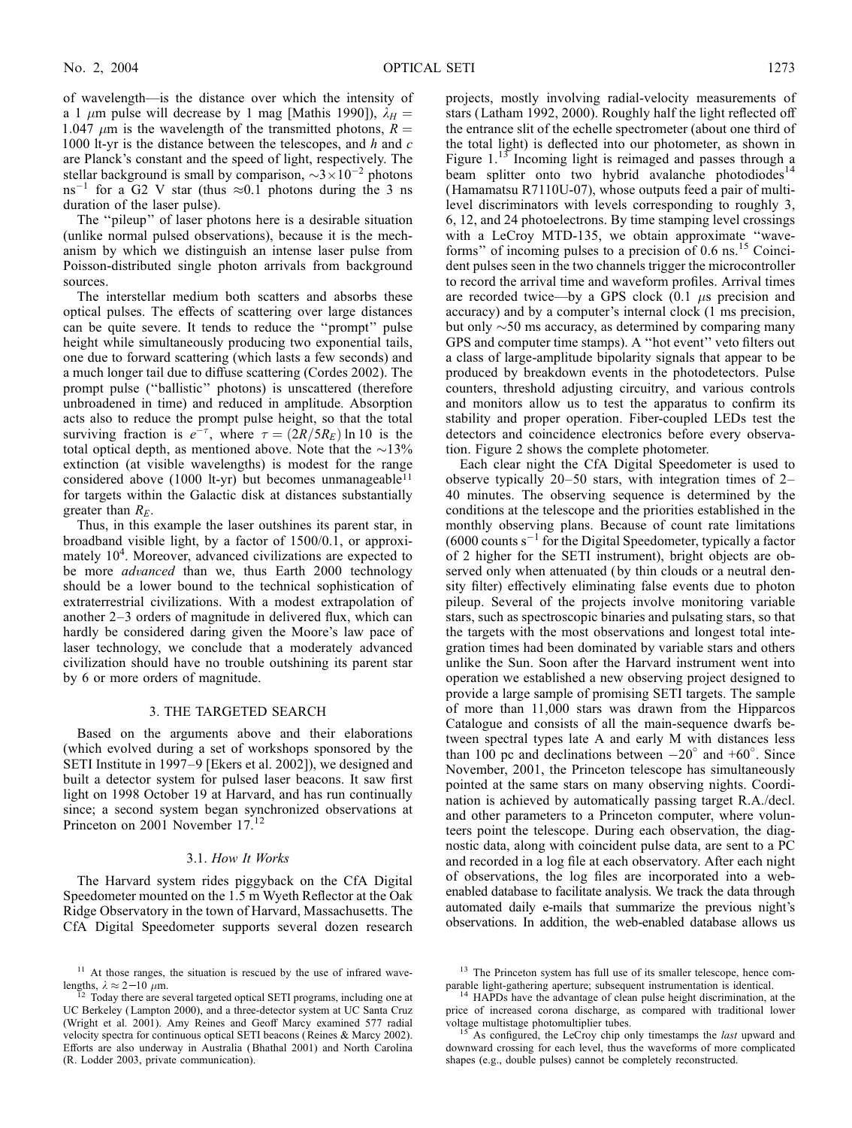of wavelength—is the distance over which the intensity of a 1  $\mu$ m pulse will decrease by 1 mag [Mathis 1990]),  $\lambda_H$  = 1.047  $\mu$ m is the wavelength of the transmitted photons,  $R =$ 1000 lt-yr is the distance between the telescopes, and  $h$  and  $c$ are Planck's constant and the speed of light, respectively. The stellar background is small by comparison,  $\sim 3 \times 10^{-2}$  photons  $\text{ns}^{-1}$  for a G2 V star (thus  $\approx 0.1$  photons during the 3 ns duration of the laser pulse).

The ''pileup'' of laser photons here is a desirable situation (unlike normal pulsed observations), because it is the mechanism by which we distinguish an intense laser pulse from Poisson-distributed single photon arrivals from background sources.

The interstellar medium both scatters and absorbs these optical pulses. The effects of scattering over large distances can be quite severe. It tends to reduce the ''prompt'' pulse height while simultaneously producing two exponential tails, one due to forward scattering (which lasts a few seconds) and a much longer tail due to diffuse scattering (Cordes 2002). The prompt pulse (''ballistic'' photons) is unscattered (therefore unbroadened in time) and reduced in amplitude. Absorption acts also to reduce the prompt pulse height, so that the total surviving fraction is  $e^{-\tau}$ , where  $\tau = (2R/5R_E) \ln 10$  is the total optical depth, as mentioned above. Note that the  $\sim$ 13% extinction (at visible wavelengths) is modest for the range considered above  $(1000 \text{ lt-yr})$  but becomes unmanageable<sup>11</sup> for targets within the Galactic disk at distances substantially greater than  $R_E$ .

Thus, in this example the laser outshines its parent star, in broadband visible light, by a factor of 1500/0.1, or approximately 10<sup>4</sup>. Moreover, advanced civilizations are expected to be more *advanced* than we, thus Earth 2000 technology should be a lower bound to the technical sophistication of extraterrestrial civilizations. With a modest extrapolation of another 2–3 orders of magnitude in delivered flux, which can hardly be considered daring given the Moore's law pace of laser technology, we conclude that a moderately advanced civilization should have no trouble outshining its parent star by 6 or more orders of magnitude.

## 3. THE TARGETED SEARCH

Based on the arguments above and their elaborations (which evolved during a set of workshops sponsored by the SETI Institute in 1997–9 [Ekers et al. 2002]), we designed and built a detector system for pulsed laser beacons. It saw first light on 1998 October 19 at Harvard, and has run continually since; a second system began synchronized observations at Princeton on 2001 November 17.<sup>12</sup>

## 3.1. How It Works

The Harvard system rides piggyback on the CfA Digital Speedometer mounted on the 1.5 m Wyeth Reflector at the Oak Ridge Observatory in the town of Harvard, Massachusetts. The CfA Digital Speedometer supports several dozen research

projects, mostly involving radial-velocity measurements of stars (Latham 1992, 2000). Roughly half the light reflected off the entrance slit of the echelle spectrometer (about one third of the total light) is deflected into our photometer, as shown in Figure 1.<sup>13</sup> Incoming light is reimaged and passes through a beam splitter onto two hybrid avalanche photodiodes<sup>14</sup> (Hamamatsu R7110U-07), whose outputs feed a pair of multilevel discriminators with levels corresponding to roughly 3, 6, 12, and 24 photoelectrons. By time stamping level crossings with a LeCroy MTD-135, we obtain approximate ''waveforms'' of incoming pulses to a precision of 0.6 ns.<sup>15</sup> Coincident pulses seen in the two channels trigger the microcontroller to record the arrival time and waveform profiles. Arrival times are recorded twice—by a GPS clock  $(0.1 \mu s)$  precision and accuracy) and by a computer's internal clock (1 ms precision, but only  $\sim$ 50 ms accuracy, as determined by comparing many GPS and computer time stamps). A ''hot event'' veto filters out a class of large-amplitude bipolarity signals that appear to be produced by breakdown events in the photodetectors. Pulse counters, threshold adjusting circuitry, and various controls and monitors allow us to test the apparatus to confirm its stability and proper operation. Fiber-coupled LEDs test the detectors and coincidence electronics before every observation. Figure 2 shows the complete photometer.

Each clear night the CfA Digital Speedometer is used to observe typically 20–50 stars, with integration times of 2– 40 minutes. The observing sequence is determined by the conditions at the telescope and the priorities established in the monthly observing plans. Because of count rate limitations  $(6000 \text{ counts s}^{-1}$  for the Digital Speedometer, typically a factor of 2 higher for the SETI instrument), bright objects are observed only when attenuated (by thin clouds or a neutral density filter) effectively eliminating false events due to photon pileup. Several of the projects involve monitoring variable stars, such as spectroscopic binaries and pulsating stars, so that the targets with the most observations and longest total integration times had been dominated by variable stars and others unlike the Sun. Soon after the Harvard instrument went into operation we established a new observing project designed to provide a large sample of promising SETI targets. The sample of more than 11,000 stars was drawn from the Hipparcos Catalogue and consists of all the main-sequence dwarfs between spectral types late A and early M with distances less than 100 pc and declinations between  $-20^{\circ}$  and  $+60^{\circ}$ . Since November, 2001, the Princeton telescope has simultaneously pointed at the same stars on many observing nights. Coordination is achieved by automatically passing target R.A./decl. and other parameters to a Princeton computer, where volunteers point the telescope. During each observation, the diagnostic data, along with coincident pulse data, are sent to a PC and recorded in a log file at each observatory. After each night of observations, the log files are incorporated into a webenabled database to facilitate analysis. We track the data through automated daily e-mails that summarize the previous night's observations. In addition, the web-enabled database allows us

<sup>&</sup>lt;sup>11</sup> At those ranges, the situation is rescued by the use of infrared wave-<br>lengths,  $\lambda \approx 2-10 \mu m$ .<br><sup>12</sup> Today there are several targeted ontical SETI programs, including one of

Today there are several targeted optical SETI programs, including one at UC Berkeley ( Lampton 2000), and a three-detector system at UC Santa Cruz (Wright et al. 2001). Amy Reines and Geoff Marcy examined 577 radial velocity spectra for continuous optical SETI beacons ( Reines & Marcy 2002). Efforts are also underway in Australia ( Bhathal 2001) and North Carolina (R. Lodder 2003, private communication).

<sup>&</sup>lt;sup>13</sup> The Princeton system has full use of its smaller telescope, hence com-<br>parable light-gathering aperture; subsequent instrumentation is identical.

<sup>&</sup>lt;sup>14</sup> HAPDs have the advantage of clean pulse height discrimination, at the price of increased corona discharge, as compared with traditional lower voltage multistage photomultiplier tubes.<br>  $\frac{15}{15}$  As configured that  $\frac{1}{15}$ 

As configured, the LeCroy chip only timestamps the last upward and downward crossing for each level, thus the waveforms of more complicated shapes (e.g., double pulses) cannot be completely reconstructed.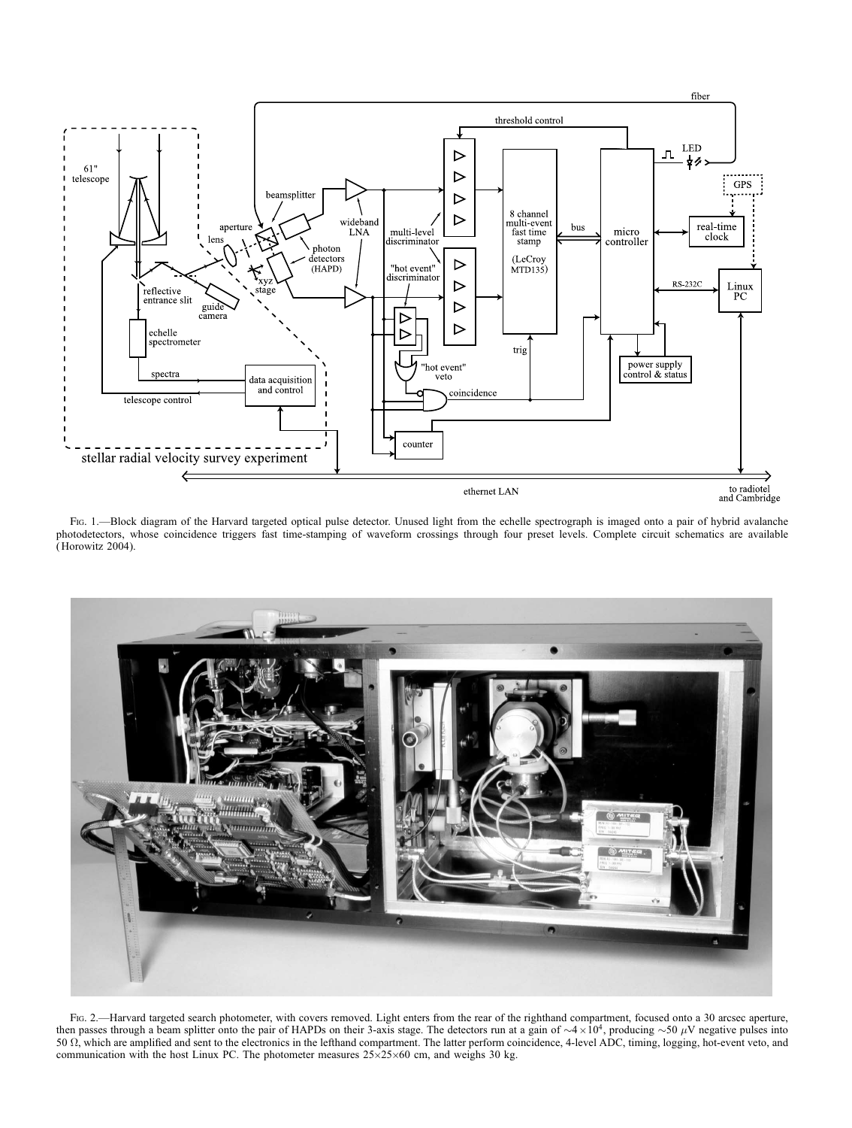

Fig. 1.—Block diagram of the Harvard targeted optical pulse detector. Unused light from the echelle spectrograph is imaged onto a pair of hybrid avalanche photodetectors, whose coincidence triggers fast time-stamping of waveform crossings through four preset levels. Complete circuit schematics are available ( Horowitz 2004).



Fig. 2.—Harvard targeted search photometer, with covers removed. Light enters from the rear of the righthand compartment, focused onto a 30 arcsec aperture, then passes through a beam splitter onto the pair of HAPDs on their 3-axis stage. The detectors run at a gain of  $\sim 4 \times 10^4$ , producing  $\sim 50 \mu$ V negative pulses into 50  $\Omega$ , which are amplified and sent to the electronics in the lefthand compartment. The latter perform coincidence, 4-level ADC, timing, logging, hot-event veto, and communication with the host Linux PC. The photometer measures  $25 \times 25 \times 60$  cm, and weighs 30 kg.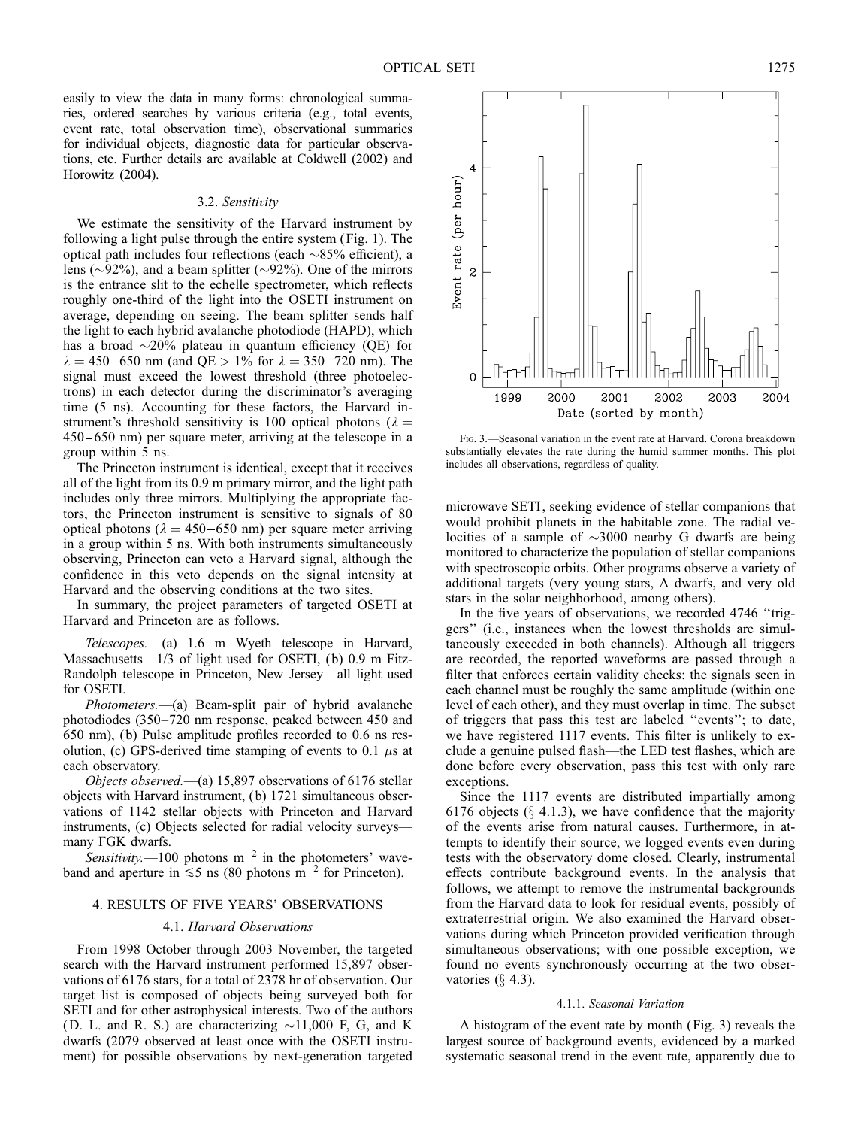easily to view the data in many forms: chronological summaries, ordered searches by various criteria (e.g., total events, event rate, total observation time), observational summaries for individual objects, diagnostic data for particular observations, etc. Further details are available at Coldwell (2002) and Horowitz (2004).

#### 3.2. Sensitivity

We estimate the sensitivity of the Harvard instrument by following a light pulse through the entire system ( Fig. 1). The optical path includes four reflections (each  $\sim 85\%$  efficient), a lens ( $\sim$ 92%), and a beam splitter ( $\sim$ 92%). One of the mirrors is the entrance slit to the echelle spectrometer, which reflects roughly one-third of the light into the OSETI instrument on average, depending on seeing. The beam splitter sends half the light to each hybrid avalanche photodiode (HAPD), which has a broad  $\sim$ 20% plateau in quantum efficiency (QE) for  $\lambda = 450 - 650$  nm (and QE  $> 1\%$  for  $\lambda = 350 - 720$  nm). The signal must exceed the lowest threshold (three photoelectrons) in each detector during the discriminator's averaging time (5 ns). Accounting for these factors, the Harvard instrument's threshold sensitivity is 100 optical photons ( $\lambda =$ 450 650 nm) per square meter, arriving at the telescope in a group within 5 ns.

The Princeton instrument is identical, except that it receives all of the light from its 0.9 m primary mirror, and the light path includes only three mirrors. Multiplying the appropriate factors, the Princeton instrument is sensitive to signals of 80 optical photons ( $\lambda = 450 - 650$  nm) per square meter arriving in a group within 5 ns. With both instruments simultaneously observing, Princeton can veto a Harvard signal, although the confidence in this veto depends on the signal intensity at Harvard and the observing conditions at the two sites.

In summary, the project parameters of targeted OSETI at Harvard and Princeton are as follows.

Telescopes.—(a) 1.6 m Wyeth telescope in Harvard, Massachusetts—1/3 of light used for OSETI, (b) 0.9 m Fitz-Randolph telescope in Princeton, New Jersey—all light used for OSETI.

Photometers.—(a) Beam-split pair of hybrid avalanche photodiodes (350–720 nm response, peaked between 450 and 650 nm), (b) Pulse amplitude profiles recorded to 0.6 ns resolution, (c) GPS-derived time stamping of events to 0.1  $\mu$ s at each observatory.

Objects observed.—(a) 15,897 observations of 6176 stellar objects with Harvard instrument, ( b) 1721 simultaneous observations of 1142 stellar objects with Princeton and Harvard instruments, (c) Objects selected for radial velocity surveys many FGK dwarfs.

Sensitivity.—100 photons  $m^{-2}$  in the photometers' waveband and aperture in  $\leq 5$  ns (80 photons m<sup>-2</sup> for Princeton).

#### 4. RESULTS OF FIVE YEARS' OBSERVATIONS

## 4.1. Harvard Observations

From 1998 October through 2003 November, the targeted search with the Harvard instrument performed 15,897 observations of 6176 stars, for a total of 2378 hr of observation. Our target list is composed of objects being surveyed both for SETI and for other astrophysical interests. Two of the authors (D. L. and R. S.) are characterizing  $\sim$ 11,000 F, G, and K dwarfs (2079 observed at least once with the OSETI instrument) for possible observations by next-generation targeted

Fig. 3.—Seasonal variation in the event rate at Harvard. Corona breakdown substantially elevates the rate during the humid summer months. This plot includes all observations, regardless of quality.

microwave SETI, seeking evidence of stellar companions that would prohibit planets in the habitable zone. The radial velocities of a sample of  $\sim$ 3000 nearby G dwarfs are being monitored to characterize the population of stellar companions with spectroscopic orbits. Other programs observe a variety of additional targets (very young stars, A dwarfs, and very old stars in the solar neighborhood, among others).

In the five years of observations, we recorded 4746 ''triggers'' (i.e., instances when the lowest thresholds are simultaneously exceeded in both channels). Although all triggers are recorded, the reported waveforms are passed through a filter that enforces certain validity checks: the signals seen in each channel must be roughly the same amplitude (within one level of each other), and they must overlap in time. The subset of triggers that pass this test are labeled ''events''; to date, we have registered 1117 events. This filter is unlikely to exclude a genuine pulsed flash—the LED test flashes, which are done before every observation, pass this test with only rare exceptions.

Since the 1117 events are distributed impartially among 6176 objects  $(\S$  4.1.3), we have confidence that the majority of the events arise from natural causes. Furthermore, in attempts to identify their source, we logged events even during tests with the observatory dome closed. Clearly, instrumental effects contribute background events. In the analysis that follows, we attempt to remove the instrumental backgrounds from the Harvard data to look for residual events, possibly of extraterrestrial origin. We also examined the Harvard observations during which Princeton provided verification through simultaneous observations; with one possible exception, we found no events synchronously occurring at the two observatories  $(\S$  4.3).

#### 4.1.1. Seasonal Variation

A histogram of the event rate by month (Fig. 3) reveals the largest source of background events, evidenced by a marked systematic seasonal trend in the event rate, apparently due to

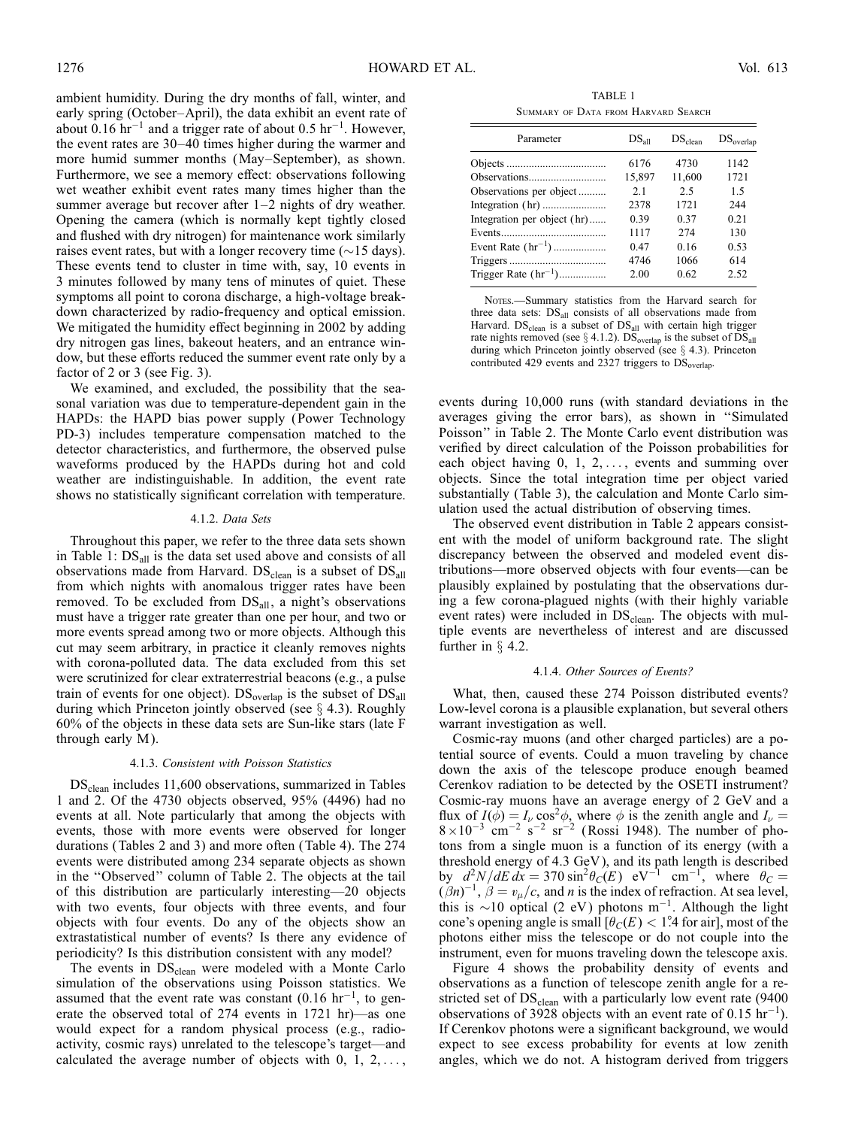ambient humidity. During the dry months of fall, winter, and early spring (October–April), the data exhibit an event rate of about  $0.16 \text{ hr}^{-1}$  and a trigger rate of about  $0.5 \text{ hr}^{-1}$ . However, the event rates are 30–40 times higher during the warmer and more humid summer months (May–September), as shown. Furthermore, we see a memory effect: observations following wet weather exhibit event rates many times higher than the summer average but recover after 1–2 nights of dry weather. Opening the camera (which is normally kept tightly closed and flushed with dry nitrogen) for maintenance work similarly raises event rates, but with a longer recovery time  $(\sim 15 \text{ days})$ . These events tend to cluster in time with, say, 10 events in 3 minutes followed by many tens of minutes of quiet. These symptoms all point to corona discharge, a high-voltage breakdown characterized by radio-frequency and optical emission. We mitigated the humidity effect beginning in 2002 by adding dry nitrogen gas lines, bakeout heaters, and an entrance window, but these efforts reduced the summer event rate only by a factor of 2 or 3 (see Fig. 3).

We examined, and excluded, the possibility that the seasonal variation was due to temperature-dependent gain in the HAPDs: the HAPD bias power supply ( Power Technology PD-3) includes temperature compensation matched to the detector characteristics, and furthermore, the observed pulse waveforms produced by the HAPDs during hot and cold weather are indistinguishable. In addition, the event rate shows no statistically significant correlation with temperature.

## 4.1.2. Data Sets

Throughout this paper, we refer to the three data sets shown in Table 1:  $DS<sub>all</sub>$  is the data set used above and consists of all observations made from Harvard. DS<sub>clean</sub> is a subset of DS<sub>all</sub> from which nights with anomalous trigger rates have been removed. To be excluded from  $DS<sub>all</sub>$ , a night's observations must have a trigger rate greater than one per hour, and two or more events spread among two or more objects. Although this cut may seem arbitrary, in practice it cleanly removes nights with corona-polluted data. The data excluded from this set were scrutinized for clear extraterrestrial beacons (e.g., a pulse train of events for one object).  $DS_{\text{overlap}}$  is the subset of  $DS_{\text{all}}$ during which Princeton jointly observed (see  $\S$  4.3). Roughly 60% of the objects in these data sets are Sun-like stars (late F through early M).

#### 4.1.3. Consistent with Poisson Statistics

DS<sub>clean</sub> includes 11,600 observations, summarized in Tables 1 and 2. Of the 4730 objects observed, 95% (4496) had no events at all. Note particularly that among the objects with events, those with more events were observed for longer durations (Tables 2 and 3) and more often (Table 4). The 274 events were distributed among 234 separate objects as shown in the ''Observed'' column of Table 2. The objects at the tail of this distribution are particularly interesting—20 objects with two events, four objects with three events, and four objects with four events. Do any of the objects show an extrastatistical number of events? Is there any evidence of periodicity? Is this distribution consistent with any model?

The events in  $DS<sub>clean</sub>$  were modeled with a Monte Carlo simulation of the observations using Poisson statistics. We assumed that the event rate was constant  $(0.16 \text{ hr}^{-1})$ , to generate the observed total of 274 events in 1721 hr)—as one would expect for a random physical process (e.g., radioactivity, cosmic rays) unrelated to the telescope's target—and calculated the average number of objects with  $0, 1, 2, \ldots$ ,

TABLE 1 Summary of Data from Harvard Search

| Parameter                   | $DS_{all}$ | $DS_{clean}$ | DS <sub>overlap</sub> |
|-----------------------------|------------|--------------|-----------------------|
|                             | 6176       | 4730         | 1142                  |
|                             | 15,897     | 11,600       | 1721                  |
| Observations per object     | 21         | 2.5          | 15                    |
|                             | 2378       | 1721         | 244                   |
| Integration per object (hr) | 0.39       | 0.37         | 0.21                  |
|                             | 1117       | 274          | 130                   |
| Event Rate $(hr^{-1})$      | 0.47       | 0.16         | 0.53                  |
|                             | 4746       | 1066         | 614                   |
| Trigger Rate $(hr^{-1})$    | 2.00       | 0.62         | 2.52                  |

Nores.-Summary statistics from the Harvard search for three data sets: DSall consists of all observations made from Harvard.  $DS<sub>clean</sub>$  is a subset of  $DS<sub>all</sub>$  with certain high trigger rate nights removed (see  $\S$  4.1.2). DS<sub>overlap</sub> is the subset of DS<sub>all</sub> during which Princeton jointly observed (see  $\S$  4.3). Princeton contributed 429 events and 2327 triggers to  $DS_{\text{overlap}}$ .

events during 10,000 runs (with standard deviations in the averages giving the error bars), as shown in ''Simulated Poisson'' in Table 2. The Monte Carlo event distribution was verified by direct calculation of the Poisson probabilities for each object having 0, 1, 2, ..., events and summing over objects. Since the total integration time per object varied substantially (Table 3), the calculation and Monte Carlo simulation used the actual distribution of observing times.

The observed event distribution in Table 2 appears consistent with the model of uniform background rate. The slight discrepancy between the observed and modeled event distributions—more observed objects with four events—can be plausibly explained by postulating that the observations during a few corona-plagued nights (with their highly variable event rates) were included in  $DS<sub>clean</sub>$ . The objects with multiple events are nevertheless of interest and are discussed further in  $\S$  4.2.

#### 4.1.4. Other Sources of Events?

What, then, caused these 274 Poisson distributed events? Low-level corona is a plausible explanation, but several others warrant investigation as well.

Cosmic-ray muons (and other charged particles) are a potential source of events. Could a muon traveling by chance down the axis of the telescope produce enough beamed Cerenkov radiation to be detected by the OSETI instrument? Cosmic-ray muons have an average energy of 2 GeV and a flux of  $I(\phi) = I_{\nu} \cos^2 \phi$ , where  $\phi$  is the zenith angle and  $I_{\nu} =$  $8 \times 10^{-3}$  cm<sup>-2</sup> s<sup>-2</sup> sr<sup>-2</sup> (Rossi 1948). The number of photons from a single muon is a function of its energy (with a threshold energy of 4.3 GeV ), and its path length is described by  $d^2N/dE dx = 370 \sin^2\theta_C(E)$  eV<sup>-1</sup> cm<sup>-1</sup>, where  $\theta_C =$  $(\beta n)^{-1}$ ,  $\beta = v_\mu/c$ , and *n* is the index of refraction. At sea level, this is  $\sim$ 10 optical (2 eV) photons m<sup>-1</sup>. Although the light cone's opening angle is small  $[\theta_C(E) < 1^\circ 4$  for air], most of the photons either miss the telescope or do not couple into the instrument, even for muons traveling down the telescope axis.

Figure 4 shows the probability density of events and observations as a function of telescope zenith angle for a restricted set of  $DS<sub>clean</sub>$  with a particularly low event rate (9400) observations of 3928 objects with an event rate of 0.15  $hr^{-1}$ ). If Cerenkov photons were a significant background, we would expect to see excess probability for events at low zenith angles, which we do not. A histogram derived from triggers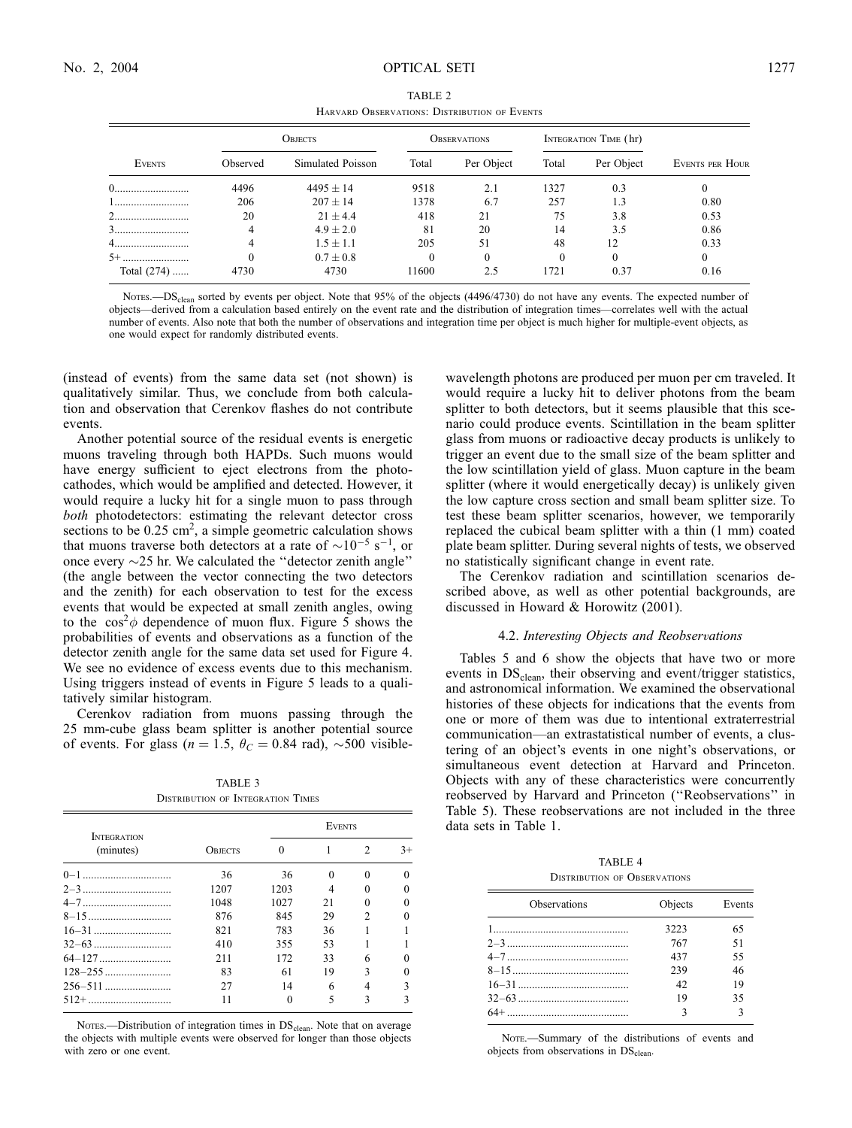|               |          | <b>OBJECTS</b>    |       | <b>OBSERVATIONS</b> |       | INTEGRATION TIME (hr) |                 |  |
|---------------|----------|-------------------|-------|---------------------|-------|-----------------------|-----------------|--|
| <b>EVENTS</b> | Observed | Simulated Poisson | Total | Per Object          | Total | Per Object            | EVENTS PER HOUR |  |
| 0             | 4496     | $4495 \pm 14$     | 9518  | 2.1                 | 1327  | 0.3                   | 0               |  |
|               | 206      | $207 \pm 14$      | 1378  | 6.7                 | 257   | 1.3                   | 0.80            |  |
|               | 20       | $21 \pm 4.4$      | 418   | 21                  | 75    | 3.8                   | 0.53            |  |
|               | 4        | $4.9 \pm 2.0$     | 81    | 20                  | 14    | 3.5                   | 0.86            |  |
|               | 4        | $1.5 \pm 1.1$     | 205   | 51                  | 48    | 12                    | 0.33            |  |
| $5+$          |          | $0.7 \pm 0.8$     |       | 0                   |       | $\theta$              | $\mathbf{0}$    |  |
| Total $(274)$ | 4730     | 4730              | 11600 | 2.5                 | 1721  | 0.37                  | 0.16            |  |

NOTES.—DS<sub>clean</sub> sorted by events per object. Note that 95% of the objects (4496/4730) do not have any events. The expected number of objects—derived from a calculation based entirely on the event rate and the distribution of integration times—correlates well with the actual number of events. Also note that both the number of observations and integration time per object is much higher for multiple-event objects, as one would expect for randomly distributed events.

(instead of events) from the same data set (not shown) is qualitatively similar. Thus, we conclude from both calculation and observation that Cerenkov flashes do not contribute events.

Another potential source of the residual events is energetic muons traveling through both HAPDs. Such muons would have energy sufficient to eject electrons from the photocathodes, which would be amplified and detected. However, it would require a lucky hit for a single muon to pass through both photodetectors: estimating the relevant detector cross sections to be  $0.25 \text{ cm}^2$ , a simple geometric calculation shows that muons traverse both detectors at a rate of  $\sim 10^{-5}$  s<sup>-1</sup>, or once every  $\sim$ 25 hr. We calculated the "detector zenith angle" (the angle between the vector connecting the two detectors and the zenith) for each observation to test for the excess events that would be expected at small zenith angles, owing to the  $\cos^2 \phi$  dependence of muon flux. Figure 5 shows the probabilities of events and observations as a function of the detector zenith angle for the same data set used for Figure 4. We see no evidence of excess events due to this mechanism. Using triggers instead of events in Figure 5 leads to a qualitatively similar histogram.

Cerenkov radiation from muons passing through the 25 mm-cube glass beam splitter is another potential source of events. For glass ( $n = 1.5$ ,  $\theta_C = 0.84$  rad),  $\sim 500$  visible-

TABLE 3 Distribution of Integration Times

|                                 |                |          | <b>EVENTS</b>            |                |      |  |  |  |
|---------------------------------|----------------|----------|--------------------------|----------------|------|--|--|--|
| <b>INTEGRATION</b><br>(minutes) | <b>OBJECTS</b> | $\Omega$ |                          | $\mathfrak{D}$ | $3+$ |  |  |  |
|                                 | 36             | 36       | $\Omega$                 | 0              | O    |  |  |  |
|                                 | 1207           | 1203     | $\overline{\mathcal{A}}$ | 0              | 0    |  |  |  |
|                                 | 1048           | 1027     | 2.1                      | 0              |      |  |  |  |
|                                 | 876            | 845      | 29                       | 2              |      |  |  |  |
|                                 | 821            | 783      | 36                       |                |      |  |  |  |
|                                 | 410            | 355      | 53                       |                |      |  |  |  |
| 64–127                          | 211            | 172      | 33                       | 6              | 0    |  |  |  |
|                                 | 83             | 61       | 19                       | 3              |      |  |  |  |
|                                 | 27             | 14       | 6                        | 4              |      |  |  |  |
| $512+$                          |                | $\Omega$ | 5                        | 3              |      |  |  |  |

Nores.—Distribution of integration times in DS<sub>clean</sub>. Note that on average the objects with multiple events were observed for longer than those objects with zero or one event.

wavelength photons are produced per muon per cm traveled. It would require a lucky hit to deliver photons from the beam splitter to both detectors, but it seems plausible that this scenario could produce events. Scintillation in the beam splitter glass from muons or radioactive decay products is unlikely to trigger an event due to the small size of the beam splitter and the low scintillation yield of glass. Muon capture in the beam splitter (where it would energetically decay) is unlikely given the low capture cross section and small beam splitter size. To test these beam splitter scenarios, however, we temporarily replaced the cubical beam splitter with a thin (1 mm) coated plate beam splitter. During several nights of tests, we observed no statistically significant change in event rate.

The Cerenkov radiation and scintillation scenarios described above, as well as other potential backgrounds, are discussed in Howard & Horowitz (2001).

# 4.2. Interesting Objects and Reobservations

Tables 5 and 6 show the objects that have two or more events in DS<sub>clean</sub>, their observing and event/trigger statistics, and astronomical information. We examined the observational histories of these objects for indications that the events from one or more of them was due to intentional extraterrestrial communication—an extrastatistical number of events, a clustering of an object's events in one night's observations, or simultaneous event detection at Harvard and Princeton. Objects with any of these characteristics were concurrently reobserved by Harvard and Princeton (''Reobservations'' in Table 5). These reobservations are not included in the three data sets in Table 1.

TABLE 4 DISTRIBUTION OF OBSERVATIONS

| Observations | Objects | Events |
|--------------|---------|--------|
|              | 3223    | 65     |
|              | 767     | 51     |
|              | 437     | 55     |
|              | 239     | 46     |
|              | 42      | 19     |
|              | 19      | 35     |
|              |         |        |

NOTE.-Summary of the distributions of events and objects from observations in  $DS<sub>clean</sub>$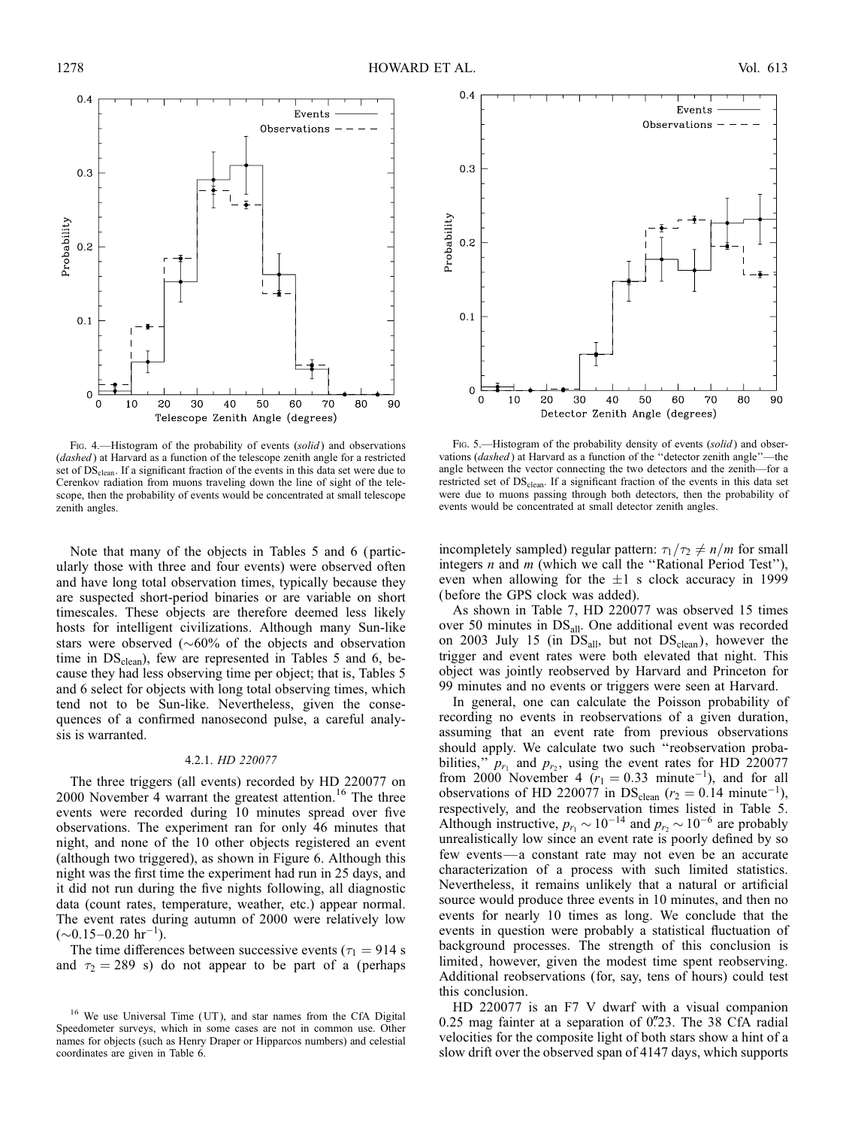

FIG. 4.—Histogram of the probability of events (solid) and observations (dashed) at Harvard as a function of the telescope zenith angle for a restricted set of  $DS<sub>clean</sub>$ . If a significant fraction of the events in this data set were due to Cerenkov radiation from muons traveling down the line of sight of the telescope, then the probability of events would be concentrated at small telescope zenith angles.

Note that many of the objects in Tables 5 and 6 ( particularly those with three and four events) were observed often and have long total observation times, typically because they are suspected short-period binaries or are variable on short timescales. These objects are therefore deemed less likely hosts for intelligent civilizations. Although many Sun-like stars were observed  $(\sim 60\%$  of the objects and observation time in  $DS<sub>clean</sub>$ , few are represented in Tables 5 and 6, because they had less observing time per object; that is, Tables 5 and 6 select for objects with long total observing times, which tend not to be Sun-like. Nevertheless, given the consequences of a confirmed nanosecond pulse, a careful analysis is warranted.

## 4.2.1. HD 220077

The three triggers (all events) recorded by HD 220077 on 2000 November 4 warrant the greatest attention.<sup>16</sup> The three events were recorded during 10 minutes spread over five observations. The experiment ran for only 46 minutes that night, and none of the 10 other objects registered an event (although two triggered), as shown in Figure 6. Although this night was the first time the experiment had run in 25 days, and it did not run during the five nights following, all diagnostic data (count rates, temperature, weather, etc.) appear normal. The event rates during autumn of 2000 were relatively low  $(\sim 0.15 - 0.20$  hr<sup>-1</sup>).

The time differences between successive events ( $\tau_1 = 914$  s and  $\tau_2 = 289$  s) do not appear to be part of a (perhaps



Fig. 5.—Histogram of the probability density of events (solid) and observations (*dashed*) at Harvard as a function of the "detector zenith angle"—the angle between the vector connecting the two detectors and the zenith—for a restricted set of DS<sub>clean</sub>. If a significant fraction of the events in this data set were due to muons passing through both detectors, then the probability of events would be concentrated at small detector zenith angles.

incompletely sampled) regular pattern:  $\tau_1/\tau_2 \neq n/m$  for small integers n and m (which we call the ''Rational Period Test''), even when allowing for the  $\pm 1$  s clock accuracy in 1999 ( before the GPS clock was added).

As shown in Table 7, HD 220077 was observed 15 times over 50 minutes in DS<sub>all</sub>. One additional event was recorded on 2003 July 15 (in  $DS_{\text{all}}$ , but not  $DS_{\text{clean}}$ ), however the trigger and event rates were both elevated that night. This object was jointly reobserved by Harvard and Princeton for 99 minutes and no events or triggers were seen at Harvard.

In general, one can calculate the Poisson probability of recording no events in reobservations of a given duration, assuming that an event rate from previous observations should apply. We calculate two such ''reobservation probabilities,"  $p_{r_1}$  and  $p_{r_2}$ , using the event rates for HD 220077 from 2000 November 4 ( $r_1 = 0.33$  minute<sup>-1</sup>), and for all observations of HD 220077 in  $DS<sub>clean</sub>$  ( $r<sub>2</sub> = 0.14$  minute<sup>-1</sup>), respectively, and the reobservation times listed in Table 5. Although instructive,  $p_{r_1} \sim 10^{-14}$  and  $p_{r_2} \sim 10^{-6}$  are probably unrealistically low since an event rate is poorly defined by so few events—a constant rate may not even be an accurate characterization of a process with such limited statistics. Nevertheless, it remains unlikely that a natural or artificial source would produce three events in 10 minutes, and then no events for nearly 10 times as long. We conclude that the events in question were probably a statistical fluctuation of background processes. The strength of this conclusion is limited, however, given the modest time spent reobserving. Additional reobservations (for, say, tens of hours) could test this conclusion.

HD 220077 is an F7 V dwarf with a visual companion  $0.25$  mag fainter at a separation of 0.  $23$ . The 38 CfA radial velocities for the composite light of both stars show a hint of a slow drift over the observed span of 4147 days, which supports

 $16$  We use Universal Time (UT), and star names from the CfA Digital Speedometer surveys, which in some cases are not in common use. Other names for objects (such as Henry Draper or Hipparcos numbers) and celestial coordinates are given in Table 6.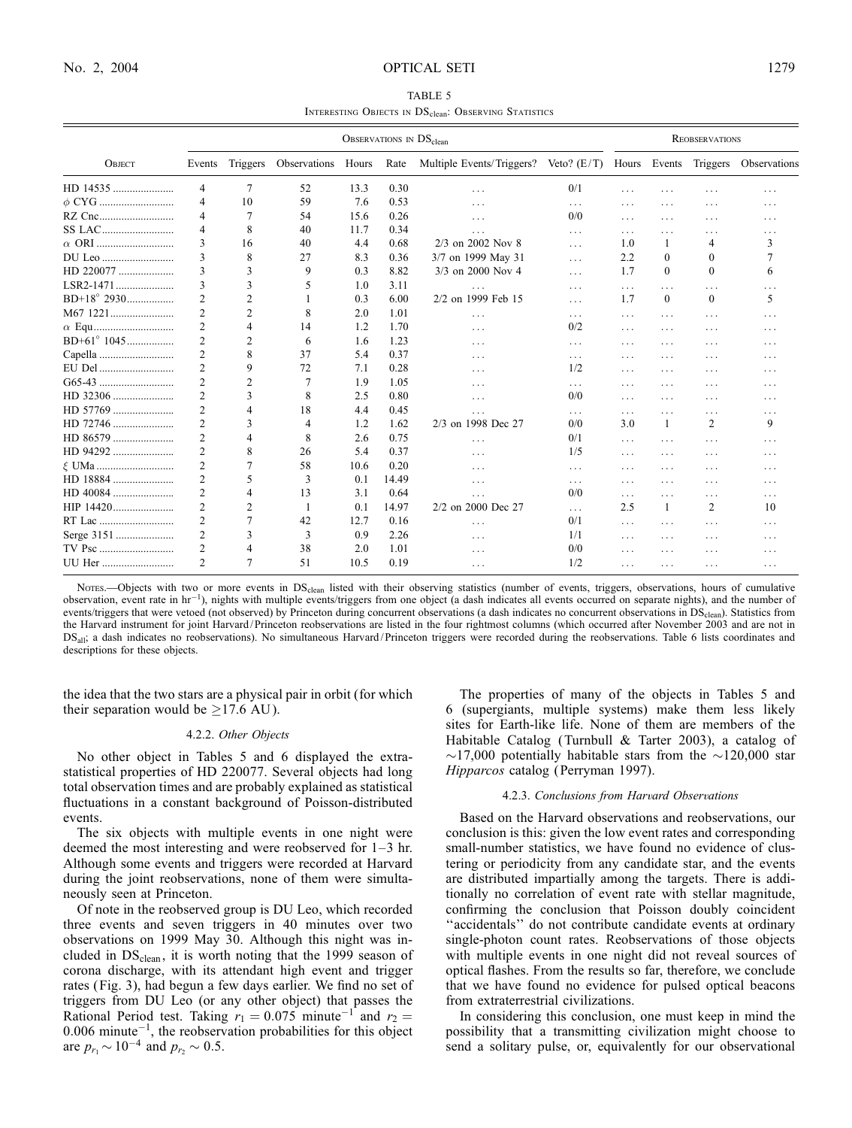TABLE 5 INTERESTING OBJECTS IN DS<sub>clean</sub>: OBSERVING STATISTICS

|                      |                |                          |    | <b>REOBSERVATIONS</b> |       |                                                             |          |          |           |              |              |  |
|----------------------|----------------|--------------------------|----|-----------------------|-------|-------------------------------------------------------------|----------|----------|-----------|--------------|--------------|--|
| Овлест               | Events         | Triggers<br>Observations |    | Hours                 | Rate  | Multiple Events/Triggers? Veto? (E/T) Hours Events Triggers |          |          |           |              | Observations |  |
|                      | $\overline{4}$ | 7                        | 52 | 13.3                  | 0.30  | $\cdots$                                                    | 0/1      | $\cdots$ | $\cdots$  | $\cdots$     | .            |  |
|                      | 4              | 10                       | 59 | 7.6                   | 0.53  | .                                                           | $\cdots$ | $\cdots$ | .         | .            | .            |  |
|                      | 4              | 7                        | 54 | 15.6                  | 0.26  | $\cdots$                                                    | 0/0      | $\cdots$ | .         | .            | .            |  |
|                      | 4              | 8                        | 40 | 11.7                  | 0.34  | $\cdots$                                                    | .        | $\cdots$ | $\cdots$  | .            | .            |  |
|                      | 3              | 16                       | 40 | 4.4                   | 0.68  | 2/3 on 2002 Nov 8                                           | .        | 1.0      | -1        | 4            | 3            |  |
| DU Leo               | 3              | 8                        | 27 | 8.3                   | 0.36  | 3/7 on 1999 May 31                                          | .        | 2.2      | $\Omega$  | $\Omega$     |              |  |
| HD 220077            | 3              | 3                        | 9  | 0.3                   | 8.82  | 3/3 on 2000 Nov 4                                           | .        | 1.7      | $\Omega$  | $\Omega$     | 6            |  |
| LSR2-1471            | 3              | 3                        | 5  | 1.0                   | 3.11  | .                                                           | .        | $\cdots$ | $\cdots$  | $\cdots$     | .            |  |
| $BD+18^{\circ} 2930$ | $\overline{2}$ | $\overline{2}$           |    | 0.3                   | 6.00  | 2/2 on 1999 Feb 15                                          | .        | 1.7      | $\Omega$  | $\mathbf{0}$ | 5            |  |
|                      | $\overline{2}$ | $\overline{2}$           | 8  | 2.0                   | 1.01  | $\cdots$                                                    | .        | $\cdots$ | $\cdots$  | $\cdots$     | .            |  |
|                      | $\overline{2}$ | 4                        | 14 | 1.2                   | 1.70  | $\cdots$                                                    | 0/2      | $\cdots$ | $\cdots$  | $\cdots$     | $\cdots$     |  |
| BD+61° 1045          | $\overline{2}$ | $\overline{2}$           | 6  | 1.6                   | 1.23  | $\cdot$                                                     | .        | $\cdots$ | $\cdots$  | $\cdots$     | $\cdots$     |  |
|                      | $\overline{2}$ | 8                        | 37 | 5.4                   | 0.37  | $\cdots$                                                    | $\cdots$ | .        | .         | $\cdots$     | $\cdots$     |  |
| EU Del               | $\overline{c}$ | 9                        | 72 | 7.1                   | 0.28  | $\cdots$                                                    | 1/2      | $\cdots$ | $\cdots$  | $\cdots$     | .            |  |
| G65-43               | $\overline{c}$ | $\overline{2}$           | 7  | 1.9                   | 1.05  | .                                                           | .        | $\cdots$ | $\cdots$  | $\cdots$     | $\cdots$     |  |
| HD 32306             | $\overline{c}$ | 3                        | 8  | 2.5                   | 0.80  | $\cdots$                                                    | 0/0      | $\cdots$ | $\cdots$  | .            | $\cdots$     |  |
|                      | $\overline{2}$ | 4                        | 18 | 4.4                   | 0.45  | .                                                           | $\cdots$ | $\cdots$ | $\cdots$  | $\cdots$     | $\cdots$     |  |
| HD 72746             | $\overline{2}$ | 3                        | 4  | 1.2                   | 1.62  | 2/3 on 1998 Dec 27                                          | 0/0      | 3.0      | 1         | 2            | 9            |  |
| HD 86579             | $\overline{c}$ | 4                        | 8  | 2.6                   | 0.75  | $\cdots$                                                    | 0/1      | $\cdots$ | $\cdots$  | .            | .            |  |
| HD 94292             | $\overline{2}$ | 8                        | 26 | 5.4                   | 0.37  | .                                                           | 1/5      | $\cdots$ | .         | .            | .            |  |
|                      | $\overline{2}$ | 7                        | 58 | 10.6                  | 0.20  | $\cdots$                                                    | .        | $\cdots$ | $\cdots$  | $\cdots$     | $\cdots$     |  |
| HD 18884             | $\overline{2}$ | 5                        | 3  | 0.1                   | 14.49 | $\cdots$                                                    | $\cdots$ | $\cdots$ | $\ddotsc$ | .            | .            |  |
| HD 40084             | 2              | 4                        | 13 | 3.1                   | 0.64  | $\cdots$                                                    | 0/0      | $\cdots$ | $\cdots$  | $\cdots$     | $\cdots$     |  |
|                      | $\overline{2}$ | 2                        |    | 0.1                   | 14.97 | 2/2 on 2000 Dec 27                                          | $\cdots$ | 2.5      | 1         | 2            | 10           |  |
| RT Lac               | $\overline{2}$ | 7                        | 42 | 12.7                  | 0.16  | .                                                           | 0/1      | $\cdots$ | $\cdots$  | .            | .            |  |
| Serge 3151           | $\overline{2}$ | 3                        | 3  | 0.9                   | 2.26  | .                                                           | 1/1      | $\cdots$ | .         | $\cdots$     | .            |  |
| TV Psc               | $\overline{2}$ | 4                        | 38 | 2.0                   | 1.01  | .                                                           | 0/0      | $\cdots$ | $\cdots$  | .            | $\cdots$     |  |
| UU Her               | $\overline{2}$ | 7                        | 51 | 10.5                  | 0.19  | $\cdots$                                                    | 1/2      | $\cdots$ | $\cdots$  | $\cdots$     | $\cdots$     |  |

Notes.—Objects with two or more events in DS<sub>clean</sub> listed with their observing statistics (number of events, triggers, observations, hours of cumulative observation, event rate in  $hr^{-1}$ ), nights with multiple events/triggers from one object (a dash indicates all events occurred on separate nights), and the number of events/triggers that were vetoed (not observed) by Princeton during concurrent observations (a dash indicates no concurrent observations in DS<sub>clean</sub>). Statistics from the Harvard instrument for joint Harvard/ Princeton reobservations are listed in the four rightmost columns (which occurred after November 2003 and are not in DS<sub>all</sub>; a dash indicates no reobservations). No simultaneous Harvard/Princeton triggers were recorded during the reobservations. Table 6 lists coordinates and descriptions for these objects.

the idea that the two stars are a physical pair in orbit (for which their separation would be  $\geq$ 17.6 AU).

# 4.2.2. Other Objects

No other object in Tables 5 and 6 displayed the extrastatistical properties of HD 220077. Several objects had long total observation times and are probably explained as statistical fluctuations in a constant background of Poisson-distributed events.

The six objects with multiple events in one night were deemed the most interesting and were reobserved for 1–3 hr. Although some events and triggers were recorded at Harvard during the joint reobservations, none of them were simultaneously seen at Princeton.

Of note in the reobserved group is DU Leo, which recorded three events and seven triggers in 40 minutes over two observations on 1999 May 30. Although this night was included in DS<sub>clean</sub>, it is worth noting that the 1999 season of corona discharge, with its attendant high event and trigger rates ( Fig. 3), had begun a few days earlier. We find no set of triggers from DU Leo (or any other object) that passes the Rational Period test. Taking  $r_1 = 0.075$  minute<sup>-1</sup> and  $r_2 =$  $0.006$  minute<sup>-1</sup>, the reobservation probabilities for this object are  $p_{r_1} \sim 10^{-4}$  and  $p_{r_2} \sim 0.5$ .

The properties of many of the objects in Tables 5 and 6 (supergiants, multiple systems) make them less likely sites for Earth-like life. None of them are members of the Habitable Catalog (Turnbull & Tarter 2003), a catalog of  $\sim$ 17,000 potentially habitable stars from the  $\sim$ 120,000 star Hipparcos catalog (Perryman 1997).

# 4.2.3. Conclusions from Harvard Observations

Based on the Harvard observations and reobservations, our conclusion is this: given the low event rates and corresponding small-number statistics, we have found no evidence of clustering or periodicity from any candidate star, and the events are distributed impartially among the targets. There is additionally no correlation of event rate with stellar magnitude, confirming the conclusion that Poisson doubly coincident ''accidentals'' do not contribute candidate events at ordinary single-photon count rates. Reobservations of those objects with multiple events in one night did not reveal sources of optical flashes. From the results so far, therefore, we conclude that we have found no evidence for pulsed optical beacons from extraterrestrial civilizations.

In considering this conclusion, one must keep in mind the possibility that a transmitting civilization might choose to send a solitary pulse, or, equivalently for our observational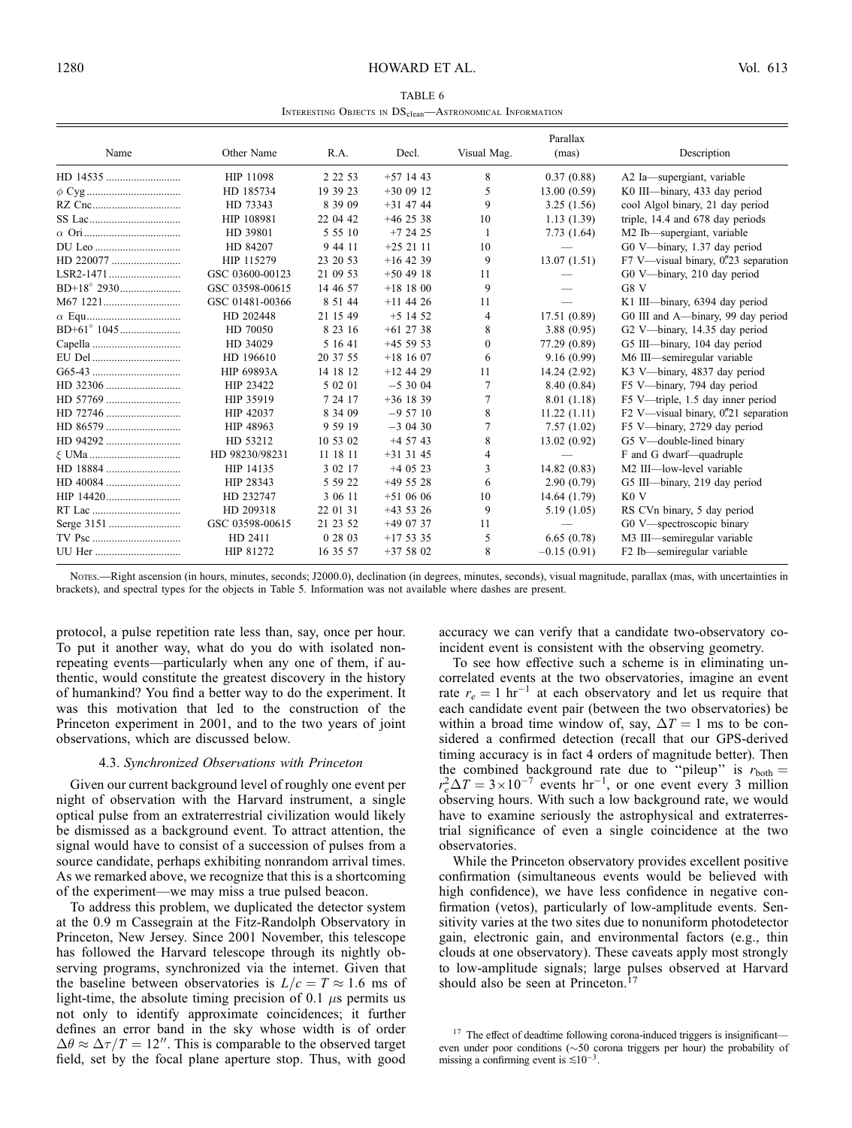| TABLE 6                                                              |  |
|----------------------------------------------------------------------|--|
| INTERESTING OBJECTS IN DS <sub>clean</sub> -ASTRONOMICAL INFORMATION |  |

| Name | Other Name        | R.A.      | Decl.       | Visual Mag.    | Parallax<br>(mas)        | Description                                    |
|------|-------------------|-----------|-------------|----------------|--------------------------|------------------------------------------------|
|      | HIP 11098         | 2 2 2 5 3 | $+57$ 14 43 | 8              | 0.37(0.88)               | A2 Ia—supergiant, variable                     |
|      | HD 185734         | 19 39 23  | $+300912$   | 5              | 13.00(0.59)              | K0 III—binary, 433 day period                  |
|      | HD 73343          | 8 39 09   | $+31$ 47 44 | 9              | 3.25(1.56)               | cool Algol binary, 21 day period               |
|      | HIP 108981        | 22 04 42  | $+46$ 25 38 | 10             | 1.13(1.39)               | triple, 14.4 and 678 day periods               |
|      | HD 39801          | 5 5 5 10  | $+7$ 24 25  | 1              | 7.73(1.64)               | M2 Ib—supergiant, variable                     |
|      | HD 84207          | 9 44 11   | $+25$ 21 11 | 10             |                          | G0 V-binary, 1.37 day period                   |
|      | HIP 115279        | 23 20 53  | $+16$ 42 39 | 9              | 13.07(1.51)              | F7 V—visual binary, $0\rlap.{''}23$ separation |
|      | GSC 03600-00123   | 21 09 53  | $+504918$   | 11             |                          | G0 V-binary, 210 day period                    |
|      | GSC 03598-00615   | 14 46 57  | $+18$ 18 00 | 9              |                          | G8 V                                           |
|      | GSC 01481-00366   | 8 51 44   | $+11$ 44 26 | 11             | $\overline{\phantom{m}}$ | K1 III-binary, 6394 day period                 |
|      | HD 202448         | 21 15 49  | $+5$ 14 52  | $\overline{4}$ | 17.51(0.89)              | G0 III and A—binary, 99 day period             |
|      | HD 70050          | 8 2 3 1 6 | $+61$ 27 38 | 8              | 3.88(0.95)               | G2 V-binary, 14.35 day period                  |
|      | HD 34029          | 5 16 41   | $+455953$   | $\theta$       | 77.29 (0.89)             | G5 III-binary, 104 day period                  |
|      | HD 196610         | 20 37 55  | $+18$ 16 07 | 6              | 9.16(0.99)               | M6 III-semiregular variable                    |
|      | <b>HIP 69893A</b> | 14 18 12  | $+12$ 44 29 | 11             | 14.24 (2.92)             | K3 V-binary, 4837 day period                   |
|      | HIP 23422         | 5 02 01   | $-53004$    | 7              | 8.40 (0.84)              | F5 V—binary, 794 day period                    |
|      | HIP 35919         | 7 24 17   | $+36$ 18 39 | $\overline{7}$ | 8.01(1.18)               | F5 V—triple, 1.5 day inner period              |
|      | HIP 42037         | 8 34 09   | $-95710$    | 8              | 11.22(1.11)              | F2 V—visual binary, $0\rlap.{''}21$ separation |
|      | HIP 48963         | 9 59 19   | $-30430$    | 7              | 7.57(1.02)               | F5 V-binary, 2729 day period                   |
|      | HD 53212          | 10 53 02  | $+4$ 57 43  | 8              | 13.02 (0.92)             | G5 V-double-lined binary                       |
|      | HD 98230/98231    | 11 18 11  | $+31$ 31 45 | $\overline{4}$ |                          | F and G dwarf—quadruple                        |
|      | HIP 14135         | 3 02 17   | $+40523$    | 3              | 14.82(0.83)              | M2 III-low-level variable                      |
|      | HIP 28343         | 5 59 22   | $+495528$   | 6              | 2.90(0.79)               | G5 III—binary, 219 day period                  |
|      | HD 232747         | 3 06 11   | $+510606$   | 10             | 14.64 (1.79)             | K <sub>0</sub> V                               |
|      | HD 209318         | 22 01 31  | $+43$ 53 26 | 9              | 5.19(1.05)               | RS CVn binary, 5 day period                    |
|      | GSC 03598-00615   | 21 23 52  | $+490737$   | 11             | $\overline{\phantom{a}}$ | G0 V—spectroscopic binary                      |
|      | HD 2411           | 0 28 03   | $+175335$   | 5              | 6.65(0.78)               | M3 III—semiregular variable                    |
|      | HIP 81272         | 16 35 57  | $+375802$   | 8              | $-0.15(0.91)$            | F2 Ib—semiregular variable                     |

Notes.—Right ascension (in hours, minutes, seconds; J2000.0), declination (in degrees, minutes, seconds), visual magnitude, parallax (mas, with uncertainties in brackets), and spectral types for the objects in Table 5. Information was not available where dashes are present.

protocol, a pulse repetition rate less than, say, once per hour. To put it another way, what do you do with isolated nonrepeating events—particularly when any one of them, if authentic, would constitute the greatest discovery in the history of humankind? You find a better way to do the experiment. It was this motivation that led to the construction of the Princeton experiment in 2001, and to the two years of joint observations, which are discussed below.

### 4.3. Synchronized Observations with Princeton

Given our current background level of roughly one event per night of observation with the Harvard instrument, a single optical pulse from an extraterrestrial civilization would likely be dismissed as a background event. To attract attention, the signal would have to consist of a succession of pulses from a source candidate, perhaps exhibiting nonrandom arrival times. As we remarked above, we recognize that this is a shortcoming of the experiment—we may miss a true pulsed beacon.

To address this problem, we duplicated the detector system at the 0.9 m Cassegrain at the Fitz-Randolph Observatory in Princeton, New Jersey. Since 2001 November, this telescope has followed the Harvard telescope through its nightly observing programs, synchronized via the internet. Given that the baseline between observatories is  $L/c = T \approx 1.6$  ms of light-time, the absolute timing precision of 0.1  $\mu$ s permits us not only to identify approximate coincidences; it further defines an error band in the sky whose width is of order  $\Delta\theta \approx \Delta\tau/T = 12''$ . This is comparable to the observed target field, set by the focal plane aperture stop. Thus, with good

accuracy we can verify that a candidate two-observatory coincident event is consistent with the observing geometry.

To see how effective such a scheme is in eliminating uncorrelated events at the two observatories, imagine an event rate  $r_e = 1 \text{ hr}^{-1}$  at each observatory and let us require that each candidate event pair (between the two observatories) be within a broad time window of, say,  $\Delta T = 1$  ms to be considered a confirmed detection (recall that our GPS-derived timing accuracy is in fact 4 orders of magnitude better). Then the combined background rate due to "pileup" is  $r_{\text{both}} =$  $r_e^2 \Delta T = 3 \times 10^{-7}$  events hr<sup>-1</sup>, or one event every 3 million observing hours. With such a low background rate, we would have to examine seriously the astrophysical and extraterrestrial significance of even a single coincidence at the two observatories.

While the Princeton observatory provides excellent positive confirmation (simultaneous events would be believed with high confidence), we have less confidence in negative confirmation (vetos), particularly of low-amplitude events. Sensitivity varies at the two sites due to nonuniform photodetector gain, electronic gain, and environmental factors (e.g., thin clouds at one observatory). These caveats apply most strongly to low-amplitude signals; large pulses observed at Harvard should also be seen at Princeton.<sup>17</sup>

 $17$  The effect of deadtime following corona-induced triggers is insignificant even under poor conditions ( $\sim$ 50 corona triggers per hour) the probability of missing a confirming event is  $\leq 10^{-3}$ .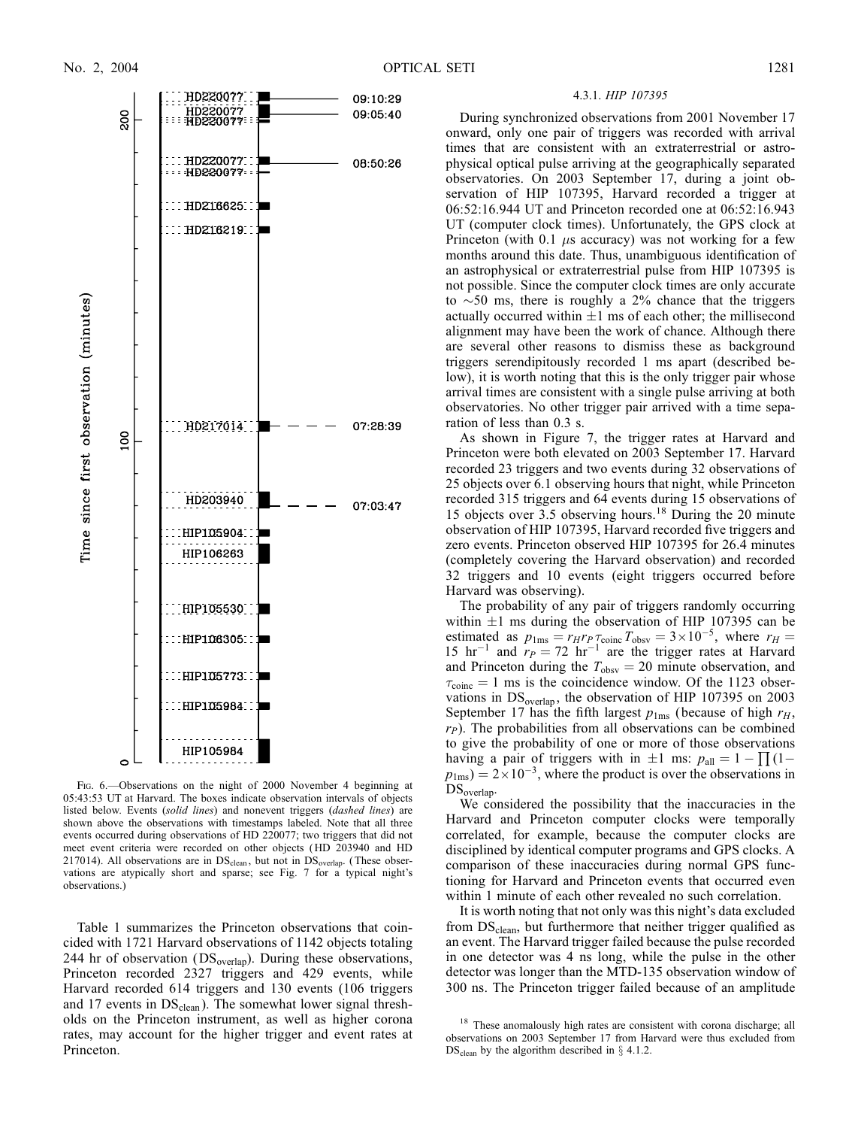

FIG. 6.—Observations on the night of 2000 November 4 beginning at 05:43:53 UT at Harvard. The boxes indicate observation intervals of objects listed below. Events (solid lines) and nonevent triggers (dashed lines) are shown above the observations with timestamps labeled. Note that all three events occurred during observations of HD 220077; two triggers that did not meet event criteria were recorded on other objects ( HD 203940 and HD 217014). All observations are in  $DS<sub>clean</sub>$ , but not in  $DS<sub>overallan</sub>$ . (These observations are atypically short and sparse; see Fig. 7 for a typical night's observations.)

Table 1 summarizes the Princeton observations that coincided with 1721 Harvard observations of 1142 objects totaling 244 hr of observation ( $DS<sub>overlap</sub>$ ). During these observations, Princeton recorded 2327 triggers and 429 events, while Harvard recorded 614 triggers and 130 events (106 triggers and 17 events in  $DS<sub>clean</sub>$ ). The somewhat lower signal thresholds on the Princeton instrument, as well as higher corona rates, may account for the higher trigger and event rates at Princeton.

#### 4.3.1. HIP 107395

During synchronized observations from 2001 November 17 onward, only one pair of triggers was recorded with arrival times that are consistent with an extraterrestrial or astrophysical optical pulse arriving at the geographically separated observatories. On 2003 September 17, during a joint observation of HIP 107395, Harvard recorded a trigger at 06:52:16.944 UT and Princeton recorded one at 06:52:16.943 UT (computer clock times). Unfortunately, the GPS clock at Princeton (with 0.1  $\mu$ s accuracy) was not working for a few months around this date. Thus, unambiguous identification of an astrophysical or extraterrestrial pulse from HIP 107395 is not possible. Since the computer clock times are only accurate to  $\sim$  50 ms, there is roughly a 2% chance that the triggers actually occurred within  $\pm 1$  ms of each other; the millisecond alignment may have been the work of chance. Although there are several other reasons to dismiss these as background triggers serendipitously recorded 1 ms apart (described below), it is worth noting that this is the only trigger pair whose arrival times are consistent with a single pulse arriving at both observatories. No other trigger pair arrived with a time separation of less than 0.3 s.

As shown in Figure 7, the trigger rates at Harvard and Princeton were both elevated on 2003 September 17. Harvard recorded 23 triggers and two events during 32 observations of 25 objects over 6.1 observing hours that night, while Princeton recorded 315 triggers and 64 events during 15 observations of 15 objects over 3.5 observing hours.<sup>18</sup> During the 20 minute observation of HIP 107395, Harvard recorded five triggers and zero events. Princeton observed HIP 107395 for 26.4 minutes (completely covering the Harvard observation) and recorded 32 triggers and 10 events (eight triggers occurred before Harvard was observing).

The probability of any pair of triggers randomly occurring within  $\pm 1$  ms during the observation of HIP 107395 can be estimated as  $p_{1ms} = r_H r_P \tau_{\text{coinc}} T_{\text{obsv}} = 3 \times 10^{-5}$ , where  $r_H =$ 15 hr<sup>-1</sup> and  $r_P = 72$  hr<sup>-1</sup> are the trigger rates at Harvard and Princeton during the  $T_{\text{obsv}} = 20$  minute observation, and  $\tau_{\text{coinc}} = 1$  ms is the coincidence window. Of the 1123 observations in  $DS_{\text{overlap}}$ , the observation of HIP 107395 on 2003 September 17 has the fifth largest  $p_{1ms}$  (because of high  $r_H$ ,  $r_P$ ). The probabilities from all observations can be combined to give the probability of one or more of those observations having a pair of triggers with in  $\pm 1$  ms:  $p_{all} = 1 - \prod (1$  $p_{1\text{ms}} = 2 \times 10^{-3}$ , where the product is over the observations in DS<sub>overlap</sub>.

We considered the possibility that the inaccuracies in the Harvard and Princeton computer clocks were temporally correlated, for example, because the computer clocks are disciplined by identical computer programs and GPS clocks. A comparison of these inaccuracies during normal GPS functioning for Harvard and Princeton events that occurred even within 1 minute of each other revealed no such correlation.

It is worth noting that not only was this night's data excluded from DS<sub>clean</sub>, but furthermore that neither trigger qualified as an event. The Harvard trigger failed because the pulse recorded in one detector was 4 ns long, while the pulse in the other detector was longer than the MTD-135 observation window of 300 ns. The Princeton trigger failed because of an amplitude

<sup>&</sup>lt;sup>18</sup> These anomalously high rates are consistent with corona discharge; all observations on 2003 September 17 from Harvard were thus excluded from  $DS<sub>clean</sub>$  by the algorithm described in  $\S$  4.1.2.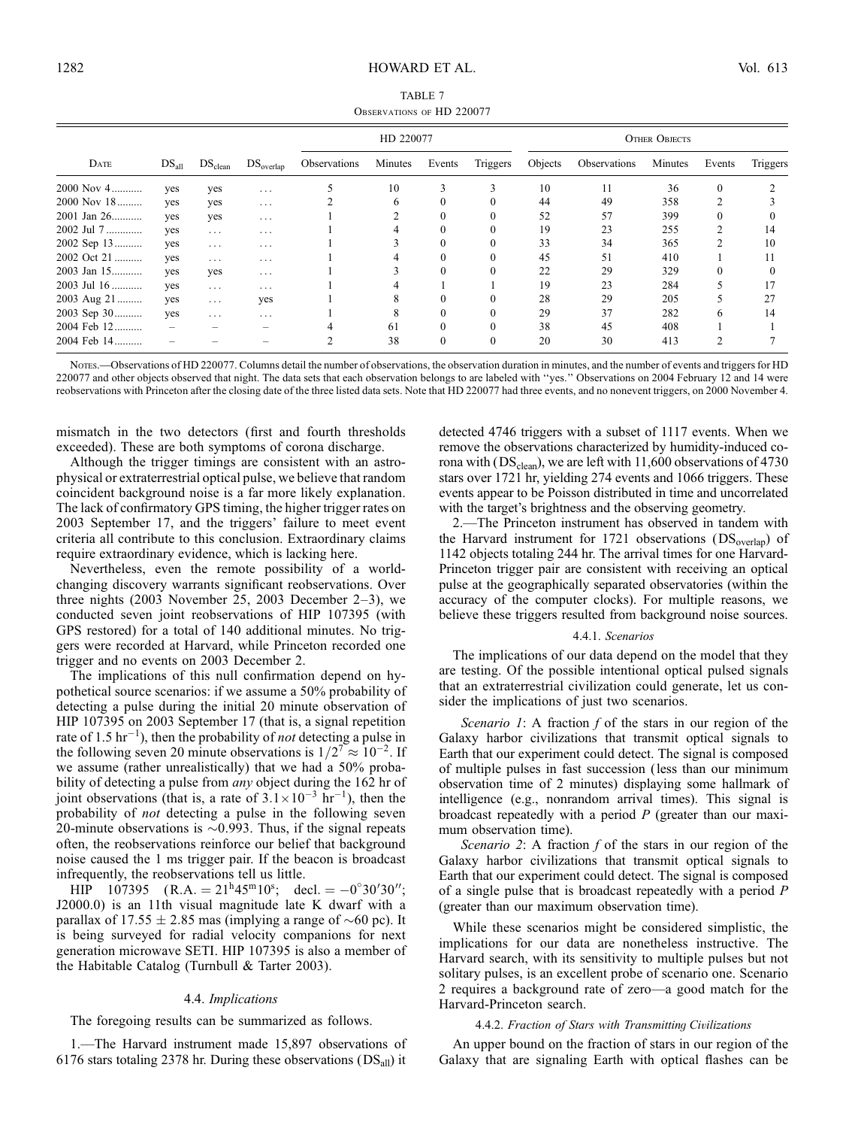| TABLE 7                   |
|---------------------------|
| OBSERVATIONS OF HD 220077 |

|             |                   |                     |                       |              | HD 220077 |          |          |         | <b>OTHER OBJECTS</b> |         |          |          |  |
|-------------|-------------------|---------------------|-----------------------|--------------|-----------|----------|----------|---------|----------------------|---------|----------|----------|--|
| DATE        | DS <sub>all</sub> | DS <sub>clean</sub> | $DS_{\text{overlap}}$ | Observations | Minutes   | Events   | Triggers | Objects | Observations         | Minutes | Events   | Triggers |  |
| 2000 Nov 4  | yes               | yes                 | $\cdots$              |              | 10        | 3        | 3        | 10      | 11                   | 36      | $\theta$ |          |  |
| 2000 Nov 18 | yes               | yes                 | $\cdots$              |              | 6         | 0        | $\Omega$ | 44      | 49                   | 358     |          |          |  |
| 2001 Jan 26 | yes               | yes                 | $\cdots$              |              |           |          |          | 52      | 57                   | 399     | $\Omega$ |          |  |
| 2002 Jul 7  | yes               | $\cdots$            | $\cdots$              |              |           |          |          | 19      | 23                   | 255     |          | 14       |  |
| 2002 Sep 13 | yes               | $\cdots$            | $\cdots$              |              |           | 0        | $\Omega$ | 33      | 34                   | 365     | 2        | 10       |  |
| 2002 Oct 21 | yes               | $\cdots$            | $\cdots$              |              |           |          | $\Omega$ | 45      | 51                   | 410     |          |          |  |
| 2003 Jan 15 | yes               | yes                 | $\cdots$              |              |           |          |          | 22      | 29                   | 329     | $\Omega$ |          |  |
| 2003 Jul 16 | yes               | $\cdots$            | $\cdots$              |              |           |          |          | 19      | 23                   | 284     |          |          |  |
| 2003 Aug 21 | yes               | $\cdots$            | yes                   |              |           |          |          | 28      | 29                   | 205     |          | 27       |  |
| 2003 Sep 30 | yes               | $\cdots$            | $\cdots$              |              |           |          |          | 29      | 37                   | 282     | 6        | 14       |  |
| 2004 Feb 12 |                   |                     |                       |              | 61        |          |          | 38      | 45                   | 408     |          |          |  |
| 2004 Feb 14 |                   |                     |                       |              | 38        | $\theta$ | $\theta$ | 20      | 30                   | 413     |          |          |  |

Notes.—Observations of HD 220077. Columns detail the number of observations, the observation duration in minutes, and the number of events and triggers for HD 220077 and other objects observed that night. The data sets that each observation belongs to are labeled with ''yes.'' Observations on 2004 February 12 and 14 were reobservations with Princeton after the closing date of the three listed data sets. Note that HD 220077 had three events, and no nonevent triggers, on 2000 November 4.

mismatch in the two detectors (first and fourth thresholds exceeded). These are both symptoms of corona discharge.

Although the trigger timings are consistent with an astrophysical or extraterrestrial optical pulse, we believe that random coincident background noise is a far more likely explanation. The lack of confirmatory GPS timing, the higher trigger rates on 2003 September 17, and the triggers' failure to meet event criteria all contribute to this conclusion. Extraordinary claims require extraordinary evidence, which is lacking here.

Nevertheless, even the remote possibility of a worldchanging discovery warrants significant reobservations. Over three nights (2003 November 25, 2003 December 2–3), we conducted seven joint reobservations of HIP 107395 (with GPS restored) for a total of 140 additional minutes. No triggers were recorded at Harvard, while Princeton recorded one trigger and no events on 2003 December 2.

The implications of this null confirmation depend on hypothetical source scenarios: if we assume a 50% probability of detecting a pulse during the initial 20 minute observation of HIP 107395 on 2003 September 17 (that is, a signal repetition rate of 1.5  $\text{hr}^{-1}$ ), then the probability of *not* detecting a pulse in the following seven 20 minute observations is  $1/2^7 \approx 10^{-2}$ . If we assume (rather unrealistically) that we had a 50% probability of detecting a pulse from *any* object during the 162 hr of joint observations (that is, a rate of  $3.1 \times 10^{-3}$  hr<sup>-1</sup>), then the probability of not detecting a pulse in the following seven 20-minute observations is  $\sim 0.993$ . Thus, if the signal repeats often, the reobservations reinforce our belief that background noise caused the 1 ms trigger pair. If the beacon is broadcast infrequently, the reobservations tell us little.

 $\text{HIP}$  107395 (R.A. = 21<sup>h</sup>45<sup>m</sup>10<sup>s</sup>; decl. = -0°30′30′′; J2000.0) is an 11th visual magnitude late K dwarf with a parallax of 17.55  $\pm$  2.85 mas (implying a range of  $\sim$ 60 pc). It is being surveyed for radial velocity companions for next generation microwave SETI. HIP 107395 is also a member of the Habitable Catalog (Turnbull & Tarter 2003).

#### 4.4. Implications

The foregoing results can be summarized as follows.

1.—The Harvard instrument made 15,897 observations of 6176 stars totaling 2378 hr. During these observations  $(DS_{all})$  it

detected 4746 triggers with a subset of 1117 events. When we remove the observations characterized by humidity-induced corona with ( $DS<sub>clean</sub>$ ), we are left with 11,600 observations of 4730 stars over 1721 hr, yielding 274 events and 1066 triggers. These events appear to be Poisson distributed in time and uncorrelated with the target's brightness and the observing geometry.

2.—The Princeton instrument has observed in tandem with the Harvard instrument for 1721 observations  $\left(DS_{\text{overlap}}\right)$  of 1142 objects totaling 244 hr. The arrival times for one Harvard-Princeton trigger pair are consistent with receiving an optical pulse at the geographically separated observatories (within the accuracy of the computer clocks). For multiple reasons, we believe these triggers resulted from background noise sources.

# 4.4.1. Scenarios

The implications of our data depend on the model that they are testing. Of the possible intentional optical pulsed signals that an extraterrestrial civilization could generate, let us consider the implications of just two scenarios.

Scenario 1: A fraction  $f$  of the stars in our region of the Galaxy harbor civilizations that transmit optical signals to Earth that our experiment could detect. The signal is composed of multiple pulses in fast succession (less than our minimum observation time of 2 minutes) displaying some hallmark of intelligence (e.g., nonrandom arrival times). This signal is broadcast repeatedly with a period  $P$  (greater than our maximum observation time).

Scenario 2: A fraction  $f$  of the stars in our region of the Galaxy harbor civilizations that transmit optical signals to Earth that our experiment could detect. The signal is composed of a single pulse that is broadcast repeatedly with a period P (greater than our maximum observation time).

While these scenarios might be considered simplistic, the implications for our data are nonetheless instructive. The Harvard search, with its sensitivity to multiple pulses but not solitary pulses, is an excellent probe of scenario one. Scenario 2 requires a background rate of zero—a good match for the Harvard-Princeton search.

### 4.4.2. Fraction of Stars with Transmitting Civilizations

An upper bound on the fraction of stars in our region of the Galaxy that are signaling Earth with optical flashes can be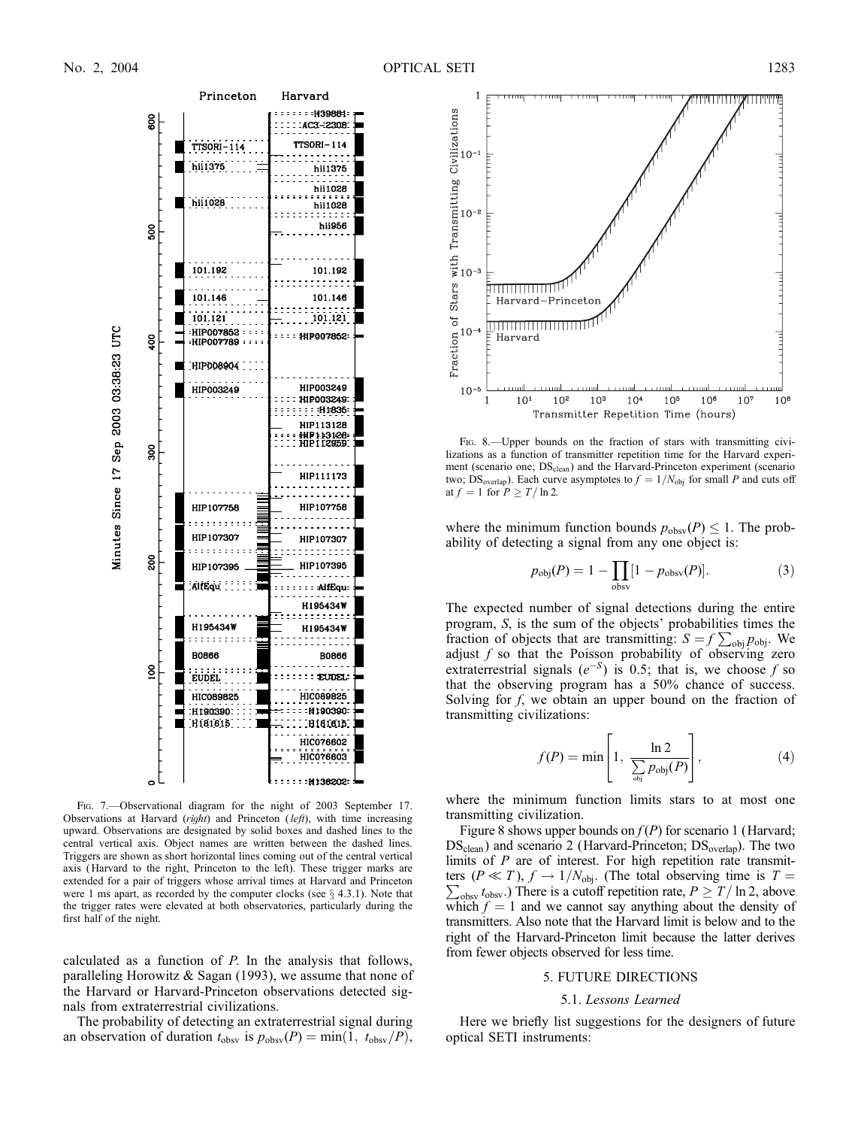

FIG. 7. - Observational diagram for the night of 2003 September 17. Observations at Harvard (right) and Princeton (left), with time increasing upward. Observations are designated by solid boxes and dashed lines to the central vertical axis. Object names are written between the dashed lines. Triggers are shown as short horizontal lines coming out of the central vertical axis ( Harvard to the right, Princeton to the left). These trigger marks are extended for a pair of triggers whose arrival times at Harvard and Princeton were 1 ms apart, as recorded by the computer clocks (see  $\S$  4.3.1). Note that the trigger rates were elevated at both observatories, particularly during the first half of the night.

calculated as a function of P. In the analysis that follows, paralleling Horowitz & Sagan (1993), we assume that none of the Harvard or Harvard-Princeton observations detected signals from extraterrestrial civilizations.

The probability of detecting an extraterrestrial signal during an observation of duration  $t_{\text{obsv}}$  is  $p_{\text{obsv}}(P) = \min(1, t_{\text{obsv}}/P)$ ,



FIG. 8.—Upper bounds on the fraction of stars with transmitting civilizations as a function of transmitter repetition time for the Harvard experiment (scenario one; DS<sub>clean</sub>) and the Harvard-Princeton experiment (scenario two; DS<sub>overlap</sub>). Each curve asymptotes to  $f = 1/N_{\text{obj}}$  for small P and cuts off at  $f = 1$  for  $P \geq T/\ln 2$ .

where the minimum function bounds  $p_{\text{obsv}}(P) \leq 1$ . The probability of detecting a signal from any one object is:

$$
p_{\text{obj}}(P) = 1 - \prod_{\text{obsv}} [1 - p_{\text{obsv}}(P)]. \tag{3}
$$

The expected number of signal detections during the entire program, S, is the sum of the objects' probabilities times the fraction of objects that are transmitting:  $S = f \sum_{obj} p_{obj}$ . We adjust  $f$  so that the Poisson probability of observing zero extraterrestrial signals  $(e^{-S})$  is 0.5; that is, we choose f so that the observing program has a 50% chance of success. Solving for f, we obtain an upper bound on the fraction of transmitting civilizations:

$$
f(P) = \min\left[1, \frac{\ln 2}{\sum_{\text{obj}} p_{\text{obj}}(P)}\right],\tag{4}
$$

where the minimum function limits stars to at most one transmitting civilization.

Figure 8 shows upper bounds on  $f(P)$  for scenario 1 (Harvard; DS<sub>clean</sub>) and scenario 2 (Harvard-Princeton; DS<sub>overlap</sub>). The two limits of  $P$  are of interest. For high repetition rate transmitters  $(P \ll T)$ ,  $f \rightarrow 1/N_{\text{obj}}$ . (The total observing time is  $T =$  $\sum_{\text{obsv}} t_{\text{obsv}}$ .) There is a cutoff repetition rate,  $P \ge T / \ln 2$ , above which  $f = 1$  and we cannot say anything about the density of transmitters. Also note that the Harvard limit is below and to the right of the Harvard-Princeton limit because the latter derives from fewer objects observed for less time.

# 5. FUTURE DIRECTIONS

#### 5.1. Lessons Learned

Here we briefly list suggestions for the designers of future optical SETI instruments: